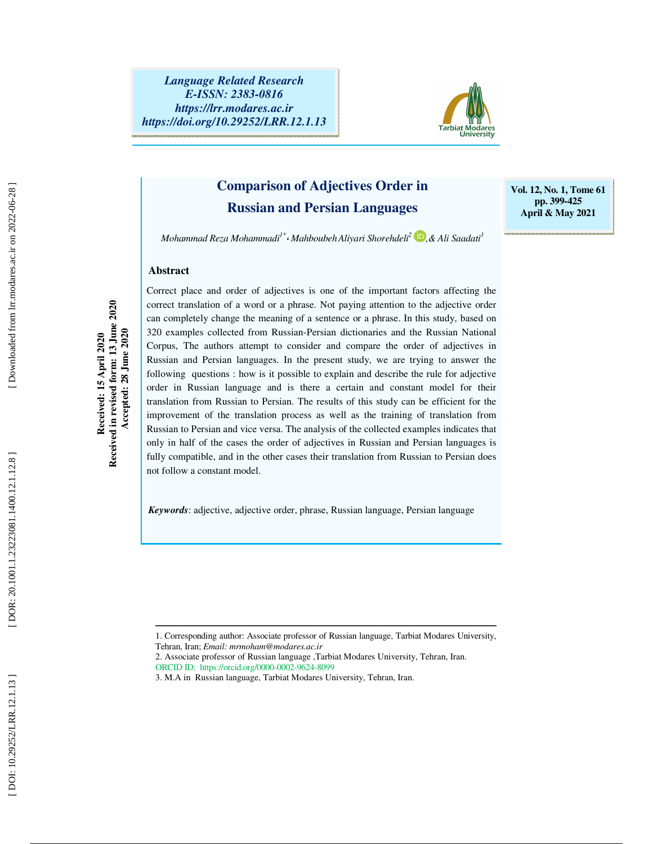

## **Comparison of Adjectives Order in Russian and Persian Languages**

**Vol. 12, No. 1, Tome 61 pp. 399-425 April & May 2021** 

*Mohammad Reza Mohammadi1\** ، *MahboubehAliyari Shorehdeli 2 ,& Ali Saadati 3*

### **Abstract**

Received: 15 April 2020<br>Received in revised form: 13 June 2020<br>Accepted: 28 June 2020 **Received in revised form: 13 June 2020 Accepted: 28 June 2020 Received: 15 April 2020** 

Correct place and order of adjectives is one of the important factors affecting the correct translation of a word or a phrase. Not paying attention to the adjective order can completely change the meaning of a sentence or a phrase. In this study, based on 320 examples collected from Russian-Persian dictionaries and the Russian National Corpus, The authors attempt to consider and compare the order of adjectives in Russian and Persian languages. In the present study, we are trying to answer the following questions : how is it possible to explain and describe the rule for adjective order in Russian language and is there a certain and constant model for their translation from Russian to Persian. The results of this study can be efficient for the improvement of the translation process as well as the training of translation from Russian to Persian and vice versa. The analysis of the collected examples indicates that only in half of the cases the order of adjectives in Russian and Persian languages is fully compatible, and in the other cases their translation from Russian to Persian does not follow a constant model.

*Keywords*: adjective, adjective order, phrase, Russian language, Persian language

- Tehran, Iran; *Email: mrmoham@modares.ac.ir*
- 2. Associate professor of Russian language ,Tarbiat Modares University, Tehran, Iran.
- ORCID ID: https://orcid.org/0000-0002-9624-8099
- 3. M.A in Russian language, Tarbiat Modares University, Tehran, Iran.

ــــــــــــــــــــــــــــــــــــــــــــــــــــــــــــــــــــــــــــــــــــــــــــــــــــــــــــــــــــــــــــــــــــــــــ 1. Corresponding author: Associate professor of Russian language, Tarbiat Modares University,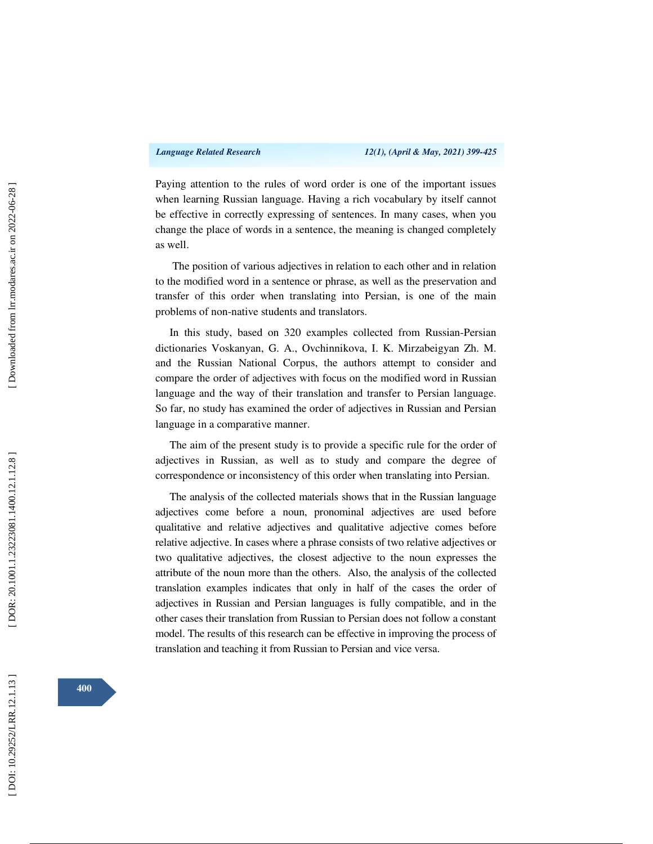Paying attention to the rules of word order is one of the important issues when learning Russian language. Having a rich vocabulary by itself cannot be effective in correctly expressing of sentences. In many cases, when you change the place of words in a sentence, the meaning is changed completely as well.

 The position of various adjectives in relation to each other and in relation to the modified word in a sentence or phrase, as well as the preservation and transfer of this order when translating into Persian, is one of the main problems of non-native students and translators.

In this study, based on 320 examples collected from Russian-Persian dictionaries Voskanyan, G. A., Ovchinnikova, I. K. Mirzabeigyan Zh. M. and the Russian National Corpus, the authors attempt to consider and compare the order of adjectives with focus on the modified word in Russian language and the way of their translation and transfer to Persian language. So far, no study has examined the order of adjectives in Russian and Persian language in a comparative manner.

The aim of the present study is to provide a specific rule for the order of adjectives in Russian, as well as to study and compare the degree of correspondence or inconsistency of this order when translating into Persian.

The analysis of the collected materials shows that in the Russian language adjectives come before a noun, pronominal adjectives are used before qualitative and relative adjectives and qualitative adjective comes before relative adjective. In cases where a phrase consists of two relative adjectives or two qualitative adjectives, the closest adjective to the noun expresses the attribute of the noun more than the others. Also, the analysis of the collected translation examples indicates that only in half of the cases the order of adjectives in Russian and Persian languages is fully compatible, and in the other cases their translation from Russian to Persian does not follow a constant model. The results of this research can be effective in improving the process of translation and teaching it from Russian to Persian and vice versa.

**400**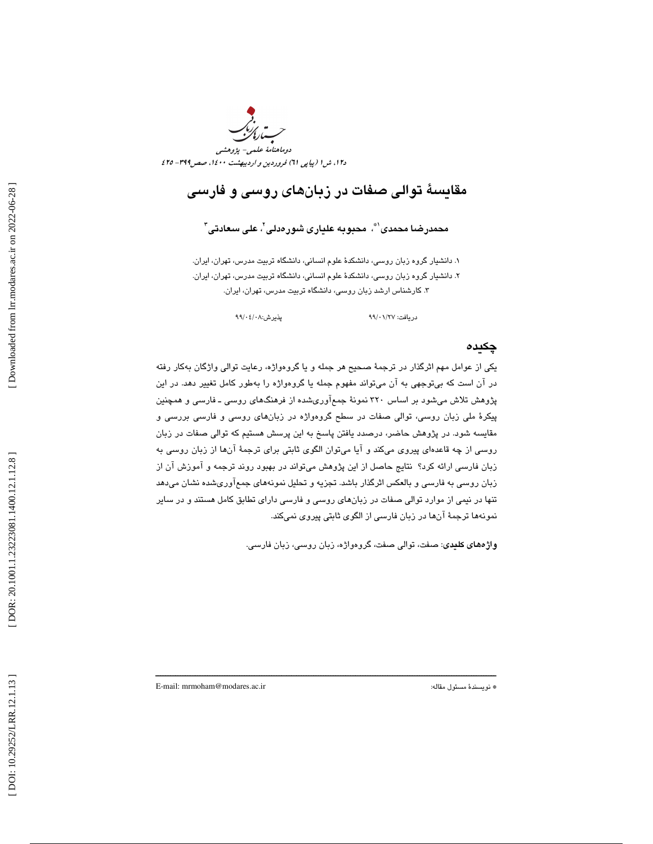

## مقايسة توالي صفات در زبانهاي روسي و فارسي

### محمدرضـا محمدی'"، محبوبـه علیاری شورەدلی'، علی سعادتی"

. دانشيار گروه زبان روسي، دانشكدة علوم انساني، دانشگاه تربيت مدرس، تهران، ايران. 1 دا 2. نشيار گروه زبان روسي، دانشكدة علوم انساني، دانشگاه تربيت مدرس، تهران، ايران. 3. كارشناس ارشد زبان روسي ، دانشگاه تربيت مدرس، تهران، ايران.

پذير ش:۸۰/۰۶/۰۸

دريافت: 27/ /01

### چكيده

يكي از عوامل مهم اثرگذار در ترجمة صحيح هر جمله و يا گروهواژه، رعايت توالي واژگان بهكار رفته در آن است كه بيتوجهي به آن ميتواند مفهوم جمله يا گروهواژه را بهطور كامل تغيير دهد. در اين پژوهش تلاش ميشود بر اساس 320 نمونة جمعآوريشده از فرهنگهاي روسي ـ فارسي و همچنين پيكرة ملي زبان روسي، توالي صفات در سطح گروهواژه در زبانهاي روسي و فارسي بررسي و مقايسه شود. در پژوهش حاضر، درصدد يافتن پاسخ به اين پرسش هستيم كه توالي صفات در زبان روسي از چه قاعدهاي پيروي ميكند و آيا ميتوان الگوي ثابتي براي ترجمة آنها از زبان روسي به زبان فارسي ارائه كرد؟ نتايج حاصل از اين پژوهش ميتواند در بهبود روند ترجمه و آموزش آن از زبان روسي به فارسي و بالعكس اثرگذار باشد. تجزيه و تحليل نمونههاي جمعآوريشده نشان ميدهد تنها در نيمي از موارد توالي صفات در زبانهاي روسي و فارسي داراي تطابق كامل هستند و در ساير نمونهها ترجمة آنها در زبان فارسي از الگوي ثابتي پيروي نميكند.

ــــــــــــــــــــــــــــــــــــــــــــــــــــــــــــــــــــــــــــــــــــــــــــــــــــــــــــــــــــــــــــــــــــــــــ

واژههاي كليدي: صفت، توالي صفت، گروهواژه، زبان روسي، زبان فارسي.

E-mail: mrmoham@modares.ac.ir :مقاله مسئول نويسندة\*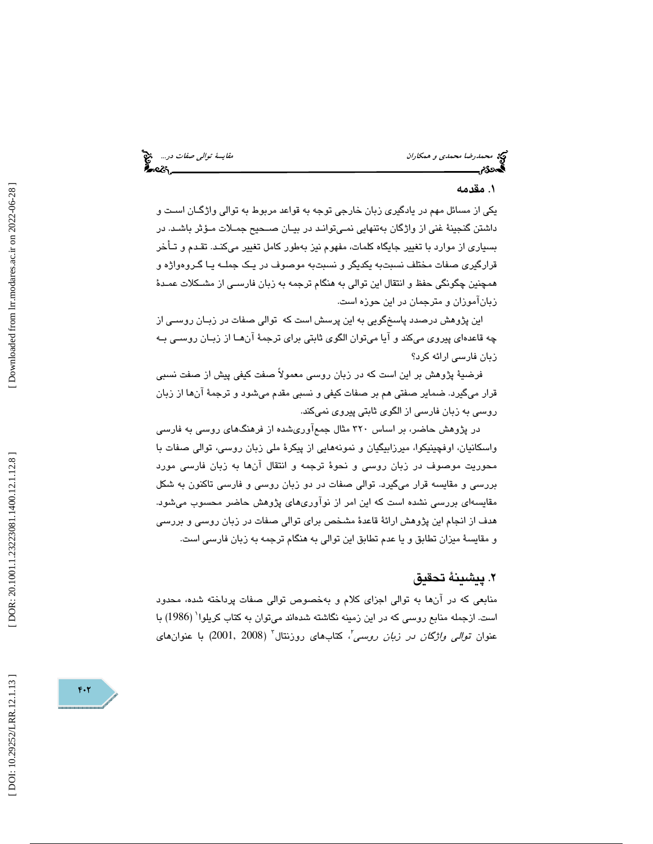محم*درضا محمدي و همكاران* مقايسة توال*ي صفات در...*.. مج<sup>عد</sup><br>**محمد توالي من المحمدي و همكاران مقايسة توالي صفات المحمد المحمد المحمد المحمد المحمد المحمد المحمد المحمد المح** 

### . مقدمه 1

يكي از مسائل مهم در يادگيري زبان خارجي توجه به قواعد مربوط به توالي واژگـان اسـت و داشتن گنجينة غني از واژگان بهتنهايي نمـي توانـد در بيـان صـحيح جمـلات مـؤثر باشـد. در بسياري از موارد با تغيير جايگاه كلمات، مفهوم نيز بهطور كامل تغيير ميكنـد. تقـدم و تـأخر قرارگيري صفات مختلف نسبتبه يكديگر و نسبتبه موصوف در يـك جملـه يـا گـروه واژه و همچنين چگونگي حفظ و انتقال اين توالي به هنگام ترجمه به زبان فارسـي از مشـكلات عمـدة زبانآموزان و مترجمان در اين حوزه است.

اين پژوهش درصدد پاسخگويي به اين پرسش است كه توالي صفات در زبـان روسـي از چه قاعدهاي پيروي ميكند و آيا ميتوان الگوي ثابتي براي ترجمة آنهـا از زبـان روسـي بـه زبان فارسي ارائه كرد؟

فرضية پژوهش بر اين است كه در زبان روسي معمولاً صفت كيفي پيش از صفت نسبي قرار ميگيرد. ضماير صفتي هم بر صفات كيفي و نسبي مقدم ميشود و ترجمة آنها از زبان روسي به زبان فارسي از الگوي ثابتي پيروي نميكند.

در پژوهش حاضر، بر اساس 320 مثال جمعآوريشده از فرهنگهاي روسي به فارسي واسكانيان، اوفچينيكوا، ميرزابيگيان و نمونههايي از پيكرة ملي زبان روسي، توالي صفات با محوريت موصوف در زبان روسي و نحوة ترجمه و انتقال آنها به زبان فارسي مورد بررسي و مقايسه قرار ميگيرد. توالي صفات در دو زبان روسي و فارسي تاكنون به شكل مقايسهاي بررسي نشده است كه اين امر از نوآوريهاي پژوهش حاضر محسوب ميشود. هدف از انجام اين پژوهش ارائة قاعدة مشخص براي توالي صفات در زبان روسي و بررسي و مقايسة ميزان تطابق و يا عدم تطابق اين توالي به هنگام ترجمه به زبان فارسي است.

### . پيشينة تحقيق 2

منابعي كه در آنها به توالي اجزاي كلام و بهخصوص توالي صفات پرداخته شده، محدود است. ازجمله منابع روسي كه در اين زمينه نگاشته شدهاند ميتوان به كتاب كريلوا 1 ( 1986) با عنوان ت*والی واژگان در زبان روسی'ً*، کتابهای روزنتال<sup>۲</sup> (2008, 2001) با عنوانهای<br>.

DOI: 10.29252/LRR.12.1.13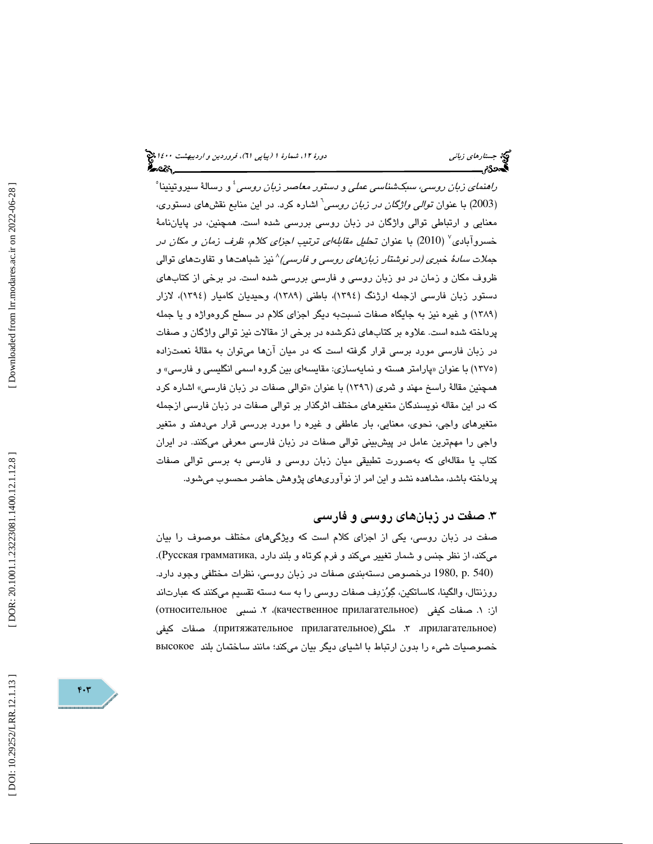*راهنمای زبان روسی، سبکشناسی عملی* و *دستور معاصر زبان روسی <sup>؛</sup> و* رسالهٔ سیروتینینا ْ (2003) با عنوان ت*والی واژگان در زبان روسی*<sup>י</sup> اشاره کرد. در این منابع نقشهای دستوری، معنايي و ارتباطي توالي واژگان در زبان روسي بررسي شده است. همچنين، در پاياننامة خسروآبادی<sup>٬</sup> (2010) با عنوان تح*لیل مقابلهای ترتیب اجزای كلام، ظرف زمان و مكان در* ج*ملات سادهٔ خبری (در نوشتار زبانهای روسی و فارسی)^*نیز شباهتها و تفاوتهای توالی ظروف مكان و زمان در دو زبان روسي و فارسي بررسي شده است. در برخي از كتابهاي دستور زبان فارسي ازجمله ارژنگ (1394)، باطني (1389)، وحيديان كاميار (1394)، لازار (۱۳۸۹) و غیره نیز به جایگاه صفات نسبتبه دیگر اجزای کلام در سطح گروهواژه و یا جمله پرداخته شده است. علاوه بر كتابهاي ذكرشده در برخي از مقالات نيز توالي واژگان و صفات در زبان فارسی مورد برسی قرار گرفته است که در میان انها میتوان به مقالهٔ نعمتزاده (۱۳۷۰) با عنوان «پارامتر هسته و نمایهسازی: مقایسهای بین گروه اسمی انگلیسی و فارسی» و همچنين مقالهٔ راسخ مهند و ثمري (١٣٩٦) با عنوان «توالي صفات در زبان فارسي» اشاره كرد كه در اين مقاله نويسندگان متغيرهاي مختلف اثرگذار بر توالي صفات در زبان فارسي ازجمله متغيرهاي واجي، نحوي، معنايي، بار عاطفي و غيره را مورد بررسي قرار ميدهند و متغير واجي را مهمترين عامل در پيشبيني توالي صفات در زبان فارسي معرفي ميكنند. در ايران كتاب يا مقالهاي كه بهصورت تطبيقي ميان زبان روسي و فارسي به برسي توالي صفات پرداخته باشد، مشاهده نشد و اين امر از نوآوريهاي پژوهش حاضر محسوب ميشود.

### ۳. صفت در زبانهای روسی و فارسی

صفت در زبان روسي، يكي از اجزاي كلام است كه ويژگيهاي مختلف موصوف را بيان ميكند، از نظر جنس و شمار تغيير ميكند و فرم كوتاه و بلند دارد ,Русская грамматика). (540 .p 1980, درخصوص دستهبندي صفات در زبان روسي، نظرات مختلفي وجود دارد. روزنتال، والگينا، كاساتكين، گِوُزدِف صفات روسي را به سه دسته تقسيم ميكنند كه عبارتاند<br>از: ۱. صفات كيفي (качественное прилагательное)، ۲. نسبي относительное) . صفات كيفي (притяжательное прилагательное . ملكي( 3 ،прилагательное ) خصوصيات شيء را بدون ارتباط با اشياي ديگر بيان ميكند؛ مانند ساختمان بلند высокое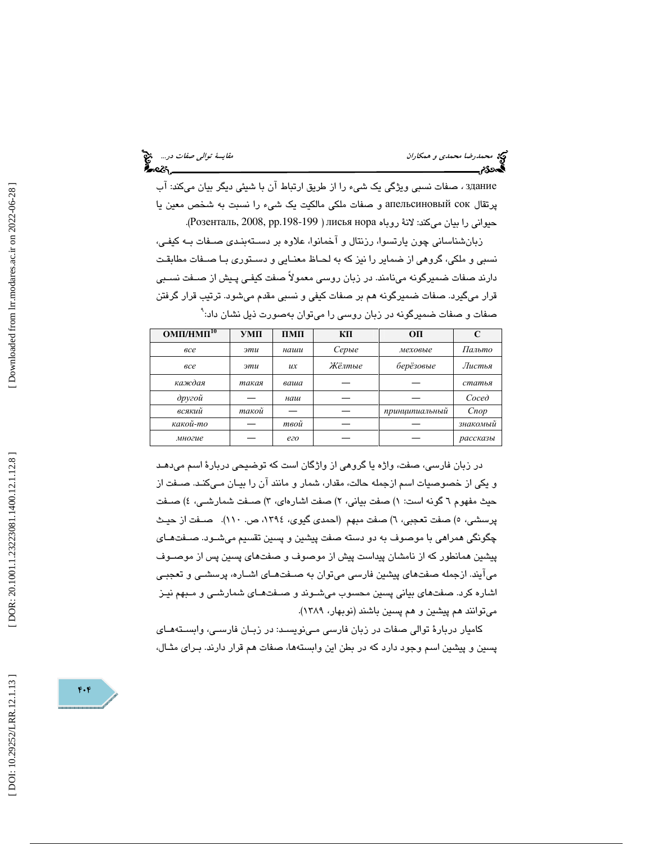здание ، صفات نسبي ويژگي يك شيء را از طريق ارتباط آن با شيئي ديگر بيان ميكند: آب پرتقال сок апельсиновый و صفات ملكي مالكيت يك شيء را نسبت به شخص معين يا حيواني را بيان ميكند: لانة روباه лисья нора ( Poзенталь, 2008, pp.198-199).

زبانشناساني چون يارتسوا، رزنتال و آخمانوا، علاوه بر دسـ تهبنـدي صـفات بـه كيفـي، نسبي و ملكي، گروهي از ضماير را نيز كه به لحـاظ معنـايي و دسـتوري بـا صـفات مطابقـت دارند صفات ضميرگونه مىنامند. در زبان روسى معمولاً صفت كيفـى پـيش از صــفت نسـبى قرار ميگيرد. صفات ضميرگونه هم بر صفات كيفي و نسبي مقدم ميشود. ترتيب قرار گرفتن صفات و صفات ضميرگونه در زبان روسي را ميتوان بهصورت ذيل نشان داد: 9

| $OMII/HMI^{10}$ | УМП   | $\Pi$ M $\Pi$ | КП     | O <sub>II</sub> | C        |
|-----------------|-------|---------------|--------|-----------------|----------|
| <sub>6</sub> ce | эти   | наши          | Серые  | меховые         | Пальто   |
| <sub>6</sub> ce | эти   | ux            | Жёлтые | берёзовые       | Листья   |
| каждая          | такая | ваша          |        |                 | статья   |
| другой          |       | наш           |        |                 | Coced    |
| всякий          | такой |               |        | принципиальный  | Cnop     |
| какой-то        |       | твой          |        |                 | знакомый |
| многие          |       | ezo           |        |                 | рассказы |

در زبان فارسي، صفت، واژه يا گروهي از واژگان است كه توضيحي دربارة اسم ميدهـد و يكي از خصوصيات اسم ازجمله حالت، مقدار، شمار و مانند آن را بيـان مـي كنـد. صـفت از حیث مفهوم ٦ گونه است: ١) صفت بیانی، ٢) صفت اشارهای، ٣) صــفت شمارشــی، ٤) صــفت پرسشي، ٥) صفت تعجبي، ٦) صفت مبهم (احمدی گيوی، ١٣٩٤، ص. ١١٠). صــفت از حيــث چگونگي همراهي با موصوف به دو دسته صفت پيشين و پسين تقسيم ميشـود. صـفت هـاي پيشين همانطور كه از نامشان پيداست پيش از موصوف و صفتهاي پسين پس از موصـ وف ميآيند. ازجمله صفتهاي پيشين فارسي ميتوان به صـفت هـاي اشـاره، پرسشـي و تعجبـي اشاره كرد. صفتهاي بياني پسين محسوب ميشـوند و صـفت هـاي شمارشـي و مـبهم نيـز ميتوانند هم پيشين و هم پسين باشند (نوبهار، 1389).

كاميار دربارة توالي صفات در زبان فارسي مـي نويسـد: در زبـان فارسـي، وابسـته هـاي پسین و پیشین اسم وجود دارد که در بطن این وابستهها، صفات هم قرار دارند. بـرای مثــال،

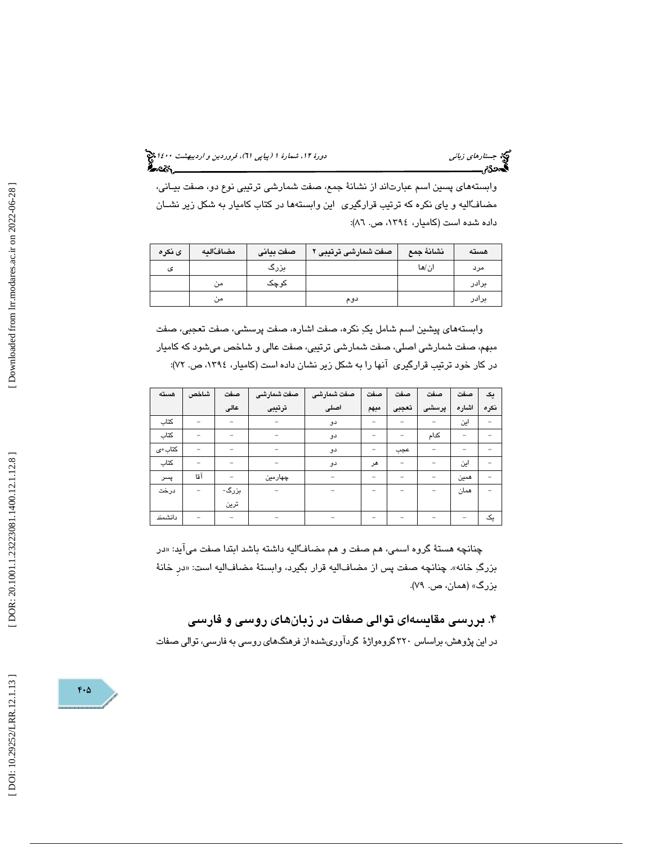(پياپي 61)، فروردين و ارديبهشت 1400 جستارهاي زباني دورة ،12 شمارة 1

وابستههاي پسين اسم عبارتاند از نشانة جمع، صفت شمارشي ترتيبي نوع دو، صفت بيـاني، مضافاليه و ياي نكره كه ترتيب قرارگيري اين وابستهها در كتاب كاميار به شكل زير نشـان داده شده است (كاميار، ،1394 ص. 86 ):

| ى نكره | مضافٌاليه     | صفت بيانى | صفت شمارشى ترتيبى | نشانة جمع | هسته  |
|--------|---------------|-----------|-------------------|-----------|-------|
| ى      |               | بزرگ      |                   | ان/ها     | مرد   |
|        | من            | کوچک      |                   |           | برادر |
|        | $\cdot$<br>من |           | دوم               |           | برادر |

وابستههاي پيشين اسم شامل يك نكره، صفت اشاره، صفت پرسشي، صفت تعجبي، صفت مبهم، صفت شمارشي اصلي، صفت شمارشي ترتيبي، صفت عالي و شاخص ميشود كه كاميار در كار خود ترتيب قرارگيري آنها را به شكل زير نشان داده است (كاميار، ١٣٩٤، ص. ٧٢):

| هسته    | شاخص | صفت   | ً صفت شمارشى | صفت شمارشى | صفت                      | صفت                      | صفت   | صفت   | یک   |
|---------|------|-------|--------------|------------|--------------------------|--------------------------|-------|-------|------|
|         |      | عالى  | ترتيبى       | اصلی       | مبهم                     | تعجبى                    | پرسشی | اشاره | نكره |
| كتاب    |      |       |              | دو         | -                        |                          |       | این   |      |
| كتاب    |      | -     |              | دو         | -                        | $\overline{\phantom{0}}$ | كدام  | -     |      |
| كتاب+ى  |      |       |              | دو         | -                        | عجب                      |       |       |      |
| كتاب    |      |       |              | دو         | هر                       | $\overline{\phantom{0}}$ |       | این   |      |
| پسر     | آقا  |       | چهارمین      |            | $\overline{\phantom{0}}$ | -                        |       | همين  |      |
| درخت    |      | بزرگ- |              |            |                          |                          |       | همان  |      |
|         |      | ترين  |              |            |                          |                          |       |       |      |
| دانشمند |      |       |              |            |                          |                          |       |       | یک   |

چنانچه هستهٔ گروه اسمی، هم صفت و هم مضافـُاليه داشته باشد ابتدا صفت میاید: «در بزرگِ خانه». چنانچه صفت پس از مضافاليه قرار بگيرد، وابستهٔ مضافاليه است: «در خانهٔ بزرگ» (همان، ص. ۷۹).

۴. بررسی مقایسهای توالی صفات در زبانهای روسی و فارسی در اين پژوهش، براساس 320 گروهواژة گردآوريشده از فرهنگهاي روسي به فارسي، توالي صفات

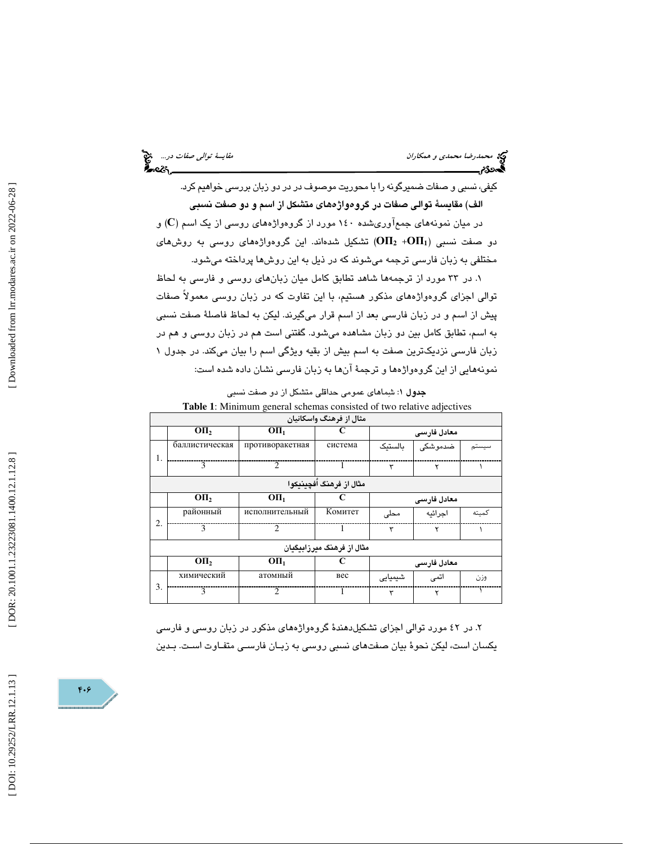كيفي، نسبي و صفات ضميرگونه را با محوريت موصوف در در دو زبان بررسي خواهيم كرد. الف) مقايسة توالي صفات در گروهواژههاي متشكل از اسم و دو صفت نسبي در میان نمونههای جمعآوریشده ۱٤۰ مورد از گروهواژههای روسی از یک اسم (C) و  $\rm (OH_2~+OH_1)$  تشكيل شدهاند. اين گروهواژههاي روسي به روشهاي مختلفي به زبان فارسي ترجمه ميشوند كه در ذيل به اين روشها پرداخته ميشود.

. در 33 مورد از ترجمهها شاهد تطابق كامل ميان زبانهاي روسي و فارسي به لحاظ 1 توالي اجزاي گروهواژههاي مذكور هستيم، با اين تفاوت كه در زبان روسي معمولاً صفات پيش از اسم و در زبان فارسي بعد از اسم قرار ميگيرند. ليكن به لحاظ فاصلة صفت نسبي به اسم، تطابق كامل بين دو زبان مشاهده ميشود. گفتني است هم در زبان روسي و هم در زبان فارسي نزديكترين صفت به اسم بيش از بقيه ويژگي اسم را بيان ميكند. در جدول 1 نمونههايي از اين گروهواژهها و ترجمة آنها به زبان فارسي نشان داده شده است:

**جدول ۱**: شمِاهای عمومی حداقلی متشکل از دو صفت نسبی **Table 1**: Minimum general schemas consisted of two relative adjectives

|    |                | <b>Table 1.</b> Minimum general schemas consisted of two relative adjectives |                           |         |             |       |
|----|----------------|------------------------------------------------------------------------------|---------------------------|---------|-------------|-------|
|    |                |                                                                              | مثال از فرهنگ واسکانیان   |         |             |       |
|    | OП,            | O <sub>II<sub>1</sub></sub>                                                  |                           |         | معادل فارسى |       |
| 1. | баллистическая | противоракетная                                                              | система                   | ىالستىك | ضدموشکی     |       |
|    | 3              | $\mathcal{D}$                                                                |                           | ٣       | ۲           |       |
|    |                |                                                                              | مثال از فرهنگ أفچىنىكوا   |         |             |       |
|    | OП,            | O <sub>II<sub>1</sub></sub>                                                  |                           |         | معادل فارسى |       |
| 2. | районный       | исполнительный                                                               | Комитет                   | محلى    | اجرائيه     | كميته |
|    | 3              | $\mathcal{D}$                                                                | 1                         | ٣       | ۲           |       |
|    |                |                                                                              | مثال از فرهنگ مىرزابىگىان |         |             |       |
|    | OП,            | O <sub>II<sub>1</sub></sub>                                                  |                           |         | معادل فارسى |       |
| 3. | химический     | атомный                                                                      | <b>Bec</b>                | شیمیایی | اتمى        | وزن   |
|    | 3              | $\mathcal{D}$                                                                | 1                         | ٣       | ۲           |       |

. در 42 مورد توالي اجزاي تشكيلدهندة گروهواژههاي مذكور در زبان روسي و فارسي 2 يكسان است، ليكن نحوة بيان صفتهاي نسبي روسي به زبـان فارسـي متفـاوت اسـت. بـدين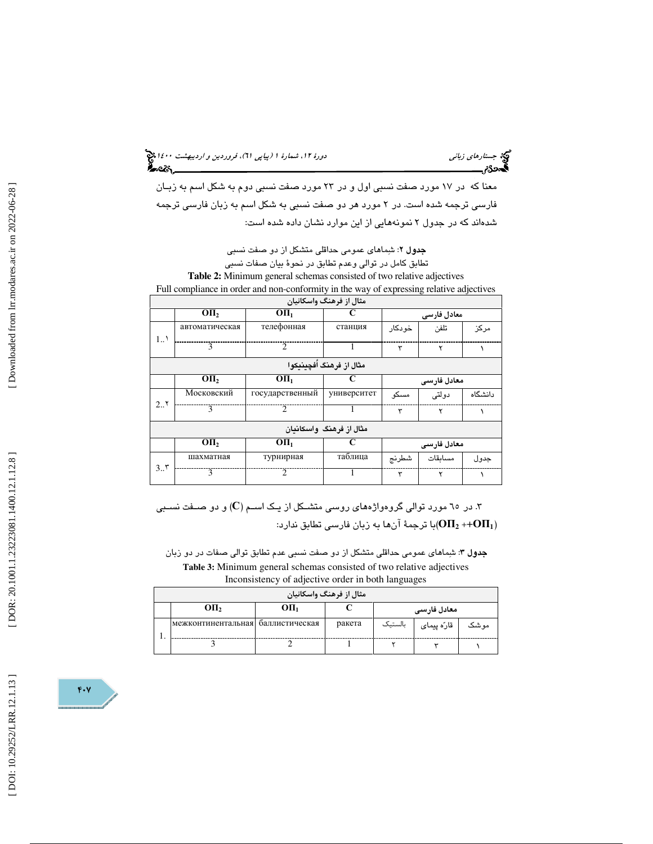(پياپي 61)، فروردين و ارديبهشت 1400 جستارهاي زباني دورة ،12 شمارة 1

معنا كه در 17 مورد صفت نسبي اول و در 23 مورد صفت نسبي دوم به شكل اسم به زبـان فارسي ترجمه شده است. در 2 مورد هر دو صفت نسبي به شكل اسم به زبان فارسي ترجمه شدهاند كه در جدول 2 نمونههايي از اين موارد نشان داده شده است:

> **جدول ۲**: شِماها*ی* عمومی حداقلی متشکل از دو صفت نسبی بق كامل در توالي وعدم تطابق در نحوة بيان صفات نسبي تطا

**Table 2:** Minimum general schemas consisted of two relative adjectives Full compliance in order and non-conformity in the way of expressing relative adjectives

|     |                |                             | مثال از فرهنگ واسکانیان  |         |             |         |
|-----|----------------|-----------------------------|--------------------------|---------|-------------|---------|
|     | OП,            | O <sub>II<sub>1</sub></sub> |                          |         | معادل فارسی |         |
| 1.7 | автоматическая | телефонная                  | станция                  | خو دکار | تلفن        | مركز    |
|     | $\overline{3}$ | $\mathcal{D}$               |                          | ٣       | ۲           |         |
|     |                |                             | مثال از فرهنگ اَفچينيکوا |         |             |         |
|     | OП,            | O <sub>II<sub>1</sub></sub> | C                        |         | معادل فارسى |         |
| 2.7 | Московский     | государственный             | университет              | مسكو    | دولتى       | دانشگاه |
|     | $\mathbf{3}$   | $\mathcal{D}_{\mathcal{L}}$ |                          | ٣       | ۲           |         |
|     |                |                             | مثال از فرهنگ واسکاندان  |         |             |         |
|     | OП,            | O <sub>II<sub>1</sub></sub> | C                        |         | معادل فارسى |         |
| 3.5 | шахматная      | турнирная                   | таблица                  | شطرنج   | مسائقات     | جدو ل   |
|     | $\mathbf{3}$   | $\mathcal{L}$               |                          | ۳       | ۲           |         |

. در ۱۵ مورد توالی گروهواژههای روسی متشــكل از یــک اســم (C) و دو صــفت نســبی  $\,$ با ترجمهٔ آنها به زبان فارسی تطابق ندارد: $\mathbf{(} \textbf{0} \textbf{I\textbf{1}}_{2} \textbf{+} \textbf{+} \textbf{0} \textbf{I} \textbf{I}_{1})$ 

**جدول ۳:** شمِاهای عمومی حداقلی متشکل از دو صفت نسبی عدم تطابق توالی صفات در دو زبان **Table 3:** Minimum general schemas consisted of two relative adjectives Inconsistency of adjective order in both languages

|                                   |                             | مثال از فرهنگ واسکانیان |         |             |      |
|-----------------------------------|-----------------------------|-------------------------|---------|-------------|------|
| ΟП,                               | O <sub>II<sub>1</sub></sub> |                         |         | معادل فارسى |      |
| межконтинентальная баллистическая |                             | ракета                  | بالستيك | قارّه پیمای | موشک |
|                                   |                             |                         |         |             |      |

 $F \cdot V$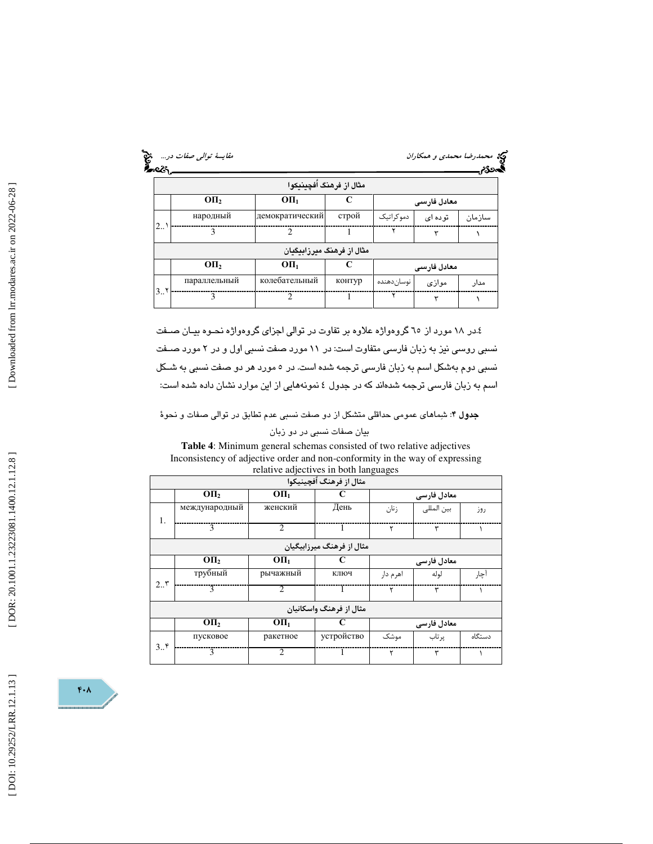|                  |              | مثال از فرهنگ اَفچینیکوا    |        |               |             |        |
|------------------|--------------|-----------------------------|--------|---------------|-------------|--------|
|                  | OП,          | O <sub>II<sub>1</sub></sub> |        |               | معادل فارسى |        |
|                  | народный     | демократический             | строй  | دموكراتيك     | توده ای     | سازمان |
| $2_{\cdot\cdot}$ | 3            | $\mathcal{D}$               |        | ۲             | ٣           |        |
|                  |              | مثال از فرهنگ میرزابیگیان   |        |               |             |        |
|                  | OП,          | O <sub>II<sub>1</sub></sub> |        |               | معادل فارسی |        |
|                  | параллельный | колебательный               | контур | ا نوسان دهنده | موازى       | مدار   |
| 3.1              | 3            | $\mathfrak{D}$              |        |               | ٣           |        |

4. در 18 مورد از 65 گروهواژه علاوه بر تفاوت در توالي اجزاي گروهواژه نحـوه بيـان صـفت نسبي روسي نيز به زبان فارسي متفاوت است: در 11 مورد صفت نسبي اول و در 2 مورد صـفت نسبي دوم بهشكل اسم به زبان فارسي ترجمه شده است. در 5 مورد هر دو صفت نسبي به شـكل اسم به زبان فارسي ترجمه شدهاند كه در جدول 4 نمونههايي از اين موارد نشان داده شده است:

جدول 4: شماهاي عمومي حداقلي متشكل از دو صفت نسبي عدم تطابق در توالي صفات و نحوة

بيان صفات نسبي در دو زبان

**Table 4**: Minimum general schemas consisted of two relative adjectives Inconsistency of adjective order and non-conformity in the way of expressing relative adjectives in both languages

|               |                  |                               | مثال از فرهنگ اُفچینیکوا  |          |             |        |
|---------------|------------------|-------------------------------|---------------------------|----------|-------------|--------|
|               | O <sub>II</sub>  | O <sub>II<sub>1</sub></sub>   | C                         |          | معادل فارسی |        |
| 1.            | международный    | женский                       | День                      | زنان     | بين المللي  | روز    |
|               | 3                | $\mathfrak{D}_{\mathfrak{p}}$ |                           | ٢        | ٣           |        |
|               |                  |                               | مثال از فرهنگ میرزابیگیان |          |             |        |
|               | OII <sub>2</sub> | O <sub>II</sub>               | C                         |          | معادل فارسى |        |
| 2.5           | трубный          | рычажный                      | ключ                      | اهرم دار | لوله        | آچار   |
|               | 3                | 2                             |                           | ٢        | ٣           |        |
|               |                  |                               | مثال از فرهنگ واسکانیان   |          |             |        |
|               | OП,              | O <sub>II</sub>               | C                         |          | معادل فارسی |        |
| $3.5^{\circ}$ | пусковое         | ракетное                      | устройство                | موشک     | یر تاب      | دستگاه |
|               | 3                | $\mathfrak{D}$                |                           | ٢        | ٣           |        |

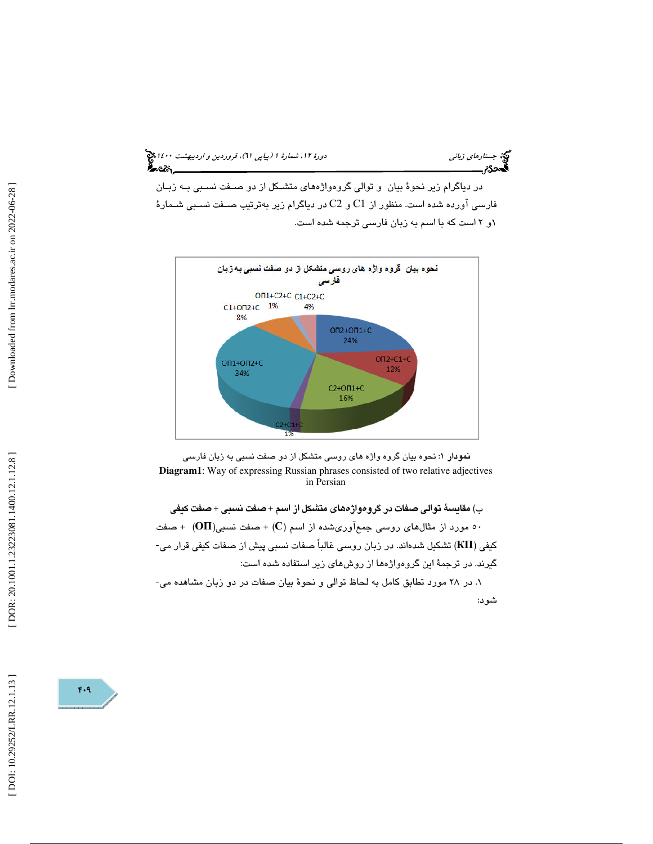(پياپي 61)، فروردين و ارديبهشت 1400 جستارهاي زباني دورة ،12 شمارة 1

در دياگرام زير نحوة بيان و توالي گروهواژههاي متشـكل از دو صـفت نسـبي بـه زبـان  $\rm c$ و (C $\rm c$  ) و C $\rm c$  و C2 در دیاگرام زیر بهترتیب صـفت نسـبي شـمارهٔ ۱و ۲ است که با اسم به زبان فارسی ترجمه شده است.





ب) مقايسة توالي صفات در گروهواژههاي متشكل از اسم + صفت نسبي + صفت كيفي ) + صفت نسبي(ОП (+ صفت 50 مورد از مثالهاي روسي جمعآوريشده از اسم (С ر زبان روسي غالباً صفات نسبي پيش از صفات كيفي قرار مي- كيفي (КП (تشكيل شدهاند. د گيرند. در ترجمة اين گروهواژهها از روشهاي زير استفاده شده است: . در 28 مورد تطابق كامل به لحاظ توالي و نحوة بيان صفات در دو زبان مشاهده مي- 1

شود:

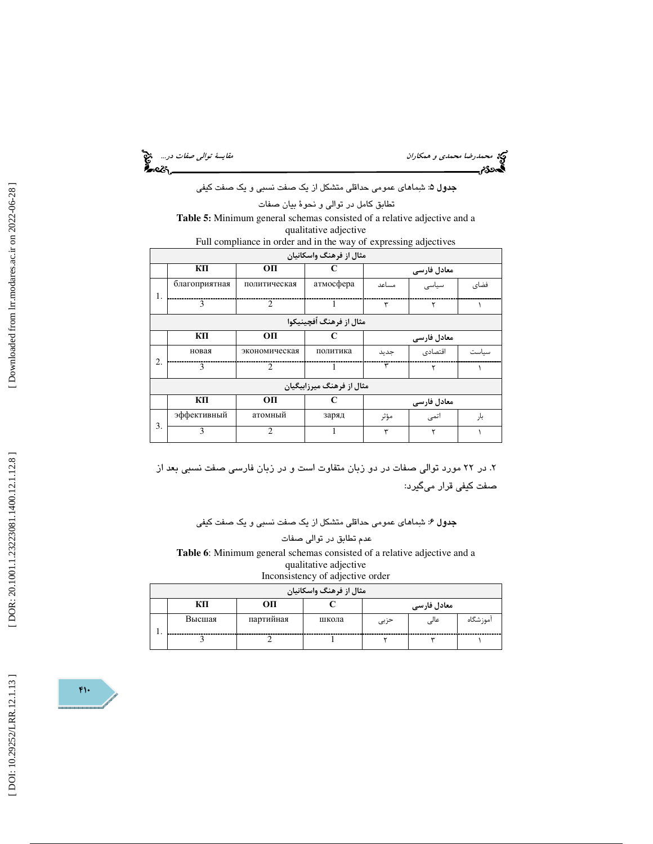محمد رضا محمد*ي و همكاران محمدي و همكاران مقايسة توالي صفات در...*<br>محمد توالي مقايسة توالي صفات المقايسة توالي صفات المقايسة توالي صفات المقايسة توالي صفات در...<br>**محمد توالي من المقايسة توالي** من المقايسة توالي من المقايس

**جدول ۵**: شِماها*ی* عمومی حداقلی متشکل از یک صفت نسبی و یک صفت کیفی

تطابق كامل در توالي و نحوة بيان صفات

**Table 5:** Minimum general schemas consisted of a relative adjective and a qualitative adjective

|    |               | Full compliance in order and in the way of expressing adjectives |                           |       |             |       |
|----|---------------|------------------------------------------------------------------|---------------------------|-------|-------------|-------|
|    |               |                                                                  | مثال از فرهنگ واسکانیان   |       |             |       |
|    | КΠ            | OП                                                               |                           |       | معادل فارسى |       |
| 1. | благоприятная | политическая                                                     | атмосфера                 | مساعد | سیاسی       | فضاى  |
|    | 3             | $\overline{2}$                                                   | 1                         | ٣     | ٢           |       |
|    |               |                                                                  | مثال از فرهنگ اُفچينيکوا  |       |             |       |
|    | КП            | OП                                                               | C                         |       | معادل فارسى |       |
|    | новая         | экономическая                                                    | политика                  | جديد  | اقتصادى     | سىاست |
| 2. | $\mathbf{3}$  | $\mathcal{D}$                                                    |                           | ٣     | ۲           |       |
|    |               |                                                                  | مثال از فرهنگ میرزابیگیان |       |             |       |
|    | КП            | OП                                                               | C                         |       | معادل فارسى |       |
|    | эффективный   | атомный                                                          | заряд                     | مؤثر  | اتمى        | بار   |
| 3. | 3             | $\overline{2}$                                                   |                           | ٣     | ۲           |       |

. 2 در 22 مورد توالي صفات در دو زبان متفاوت است و در زبان فارسي صفت نسبي بعد از صفت كيفي قرار ميگيرد:

**جدول ۶**: شِماها*ی* عمومی حداقلی متشکل از یک صفت نسبی و یک صفت کیفی

عدم تطابق در توالي صفات **Table 6**: Minimum general schemas consisted of a relative adjective and a qualitative adjective

| Inconsistency of adjective order |  |
|----------------------------------|--|
|----------------------------------|--|

|    |        |           | مثال از فرهنگ واسکانیان |      |             |           |
|----|--------|-----------|-------------------------|------|-------------|-----------|
|    | КП     | OП        |                         |      | معادل فارسی |           |
|    | Высшая | партийная | школа                   | حزبى | عالى        | آموز شگاه |
| ., |        |           |                         |      |             |           |

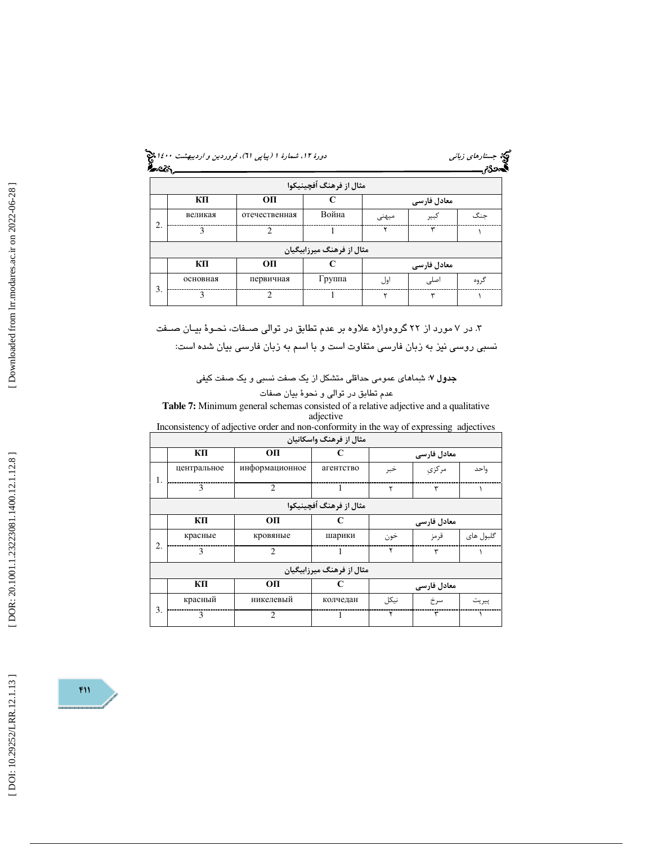| د <i>ورهٔ ۱۲، شمارهٔ ۱ (پیاپی ۲۱)، فروردین و اردیبهشت ۱٤۰۰ پن</i> گی<br>مستقلیم<br><b>گنجی از این</b> |
|-------------------------------------------------------------------------------------------------------|
|-------------------------------------------------------------------------------------------------------|

|    |               |               | مثال از فرهنگ اُفچينيکوا  |       |             |      |
|----|---------------|---------------|---------------------------|-------|-------------|------|
|    | ΚП            | OП            |                           |       | معادل فارسی |      |
|    | великая       | отечественная | Война                     | میہنی | كبير        | جنگ  |
| 2. | $\mathcal{E}$ | $\mathcal{D}$ |                           | ۷     | ٣           |      |
|    |               |               | مثال از فرهنگ میرزابیگیان |       |             |      |
|    | кп            | OП            |                           |       | معادل فارسی |      |
|    | основная      | первичная     | Группа                    | اول   | اصلى        | گروه |
| 3. | $\mathcal{E}$ | $\mathcal{D}$ |                           |       | ٣           |      |

كيخ جست*ارهاي زباني*<br>**دورد م**ريد <u>اسم</u>ار

. در 7 مورد از 22 گروهواژه علاوه بر عدم تطابق در توالي صـفات، نحـوة بيـان صـفت 3 نسبي روسي نيز به زبان فارسي متفاوت است و با اسم به زبان فارسي بيان شده است:

**جدول ۷**: شِماهای عمومی حداقلی متشکل از یک صفت نسبی و یک صفت کیفی

عدم تطابق در توالي و نحوة بيان صفات

**Table 7:** Minimum general schemas consisted of a relative adjective and a qualitative adjective

Inconsistency of adjective order and non-conformity in the way of expressing adjectives

|    |              |                | مثال از فرهنگ واسکانیان   |        |             |           |
|----|--------------|----------------|---------------------------|--------|-------------|-----------|
|    | КП           | OП             | C                         |        | معادل فارسی |           |
|    | центральное  | информационное | агентство                 | خبر    | مركزى       | واحد      |
| ı. | $\mathbf{3}$ | $\overline{c}$ | 1                         | ٢      | ٣           |           |
|    |              |                | مثال از فرهنگ اُفچينيکوا  |        |             |           |
|    | КП           | OП             | C                         |        | معادل فارسی |           |
|    | красные      | кровяные       | шарики                    | خون    | قرمز        | گلبول های |
| 2. | $\mathbf{3}$ | $\overline{c}$ | 1                         | ۲      | ٣           |           |
|    |              |                | مثال از فرهنگ میرزابیگیان |        |             |           |
|    | ΚП           | OП             | C                         |        | معادل فارسی |           |
|    | красный      | никелевый      | колчедан                  | نىكا ، | سرخ         | پيريت     |
| 3. | $\mathbf{a}$ | $\mathfrak{D}$ |                           | ۲      | ٣           |           |

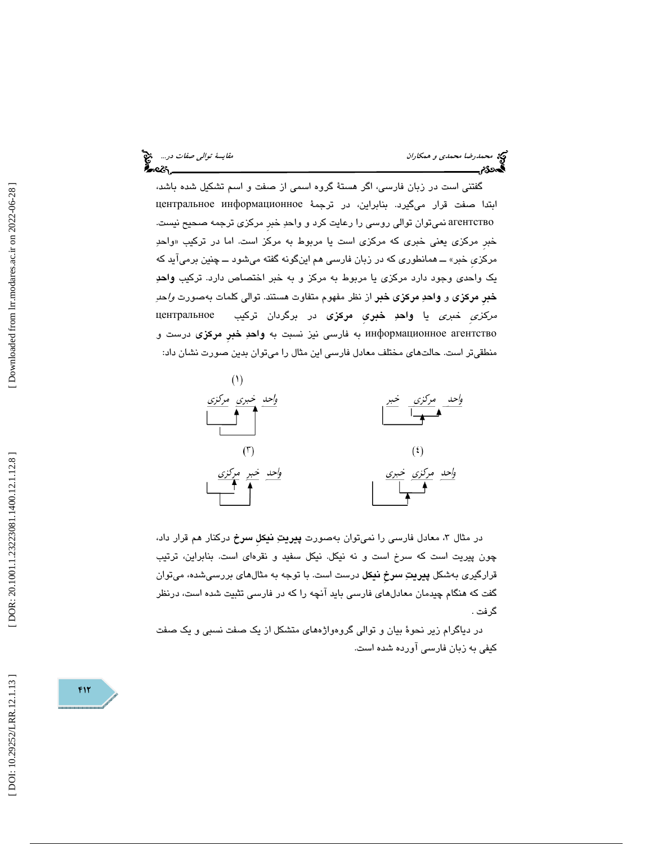گفتني است در زبان فارسي، اگر هستة گروه اسمي از صفت و اسم تشكيل شده باشد، ابتدا صفت قرار ميگيرد. بنابراين، در ترجمة информационное центральное агентство نميتوان توالي روسي را رعايت كرد و واحد خبرِ مركزي ترجمه صحيح نيست. خبر مركزي يعني خبري كه مركزي است يا مربوط به مركز است. اما در تركيب «واحدِ مركزيِ خبر» ــ همانطوري كه در زبان فارسي هم اينگونه گفته ميشود ــ چنين برميآيد كه يك واحدي وجود دارد مركزي يا مربوط به مركز و به خبر اختصاص دارد. تركيب واحد خبرِ مركزي و واحد مركزي خبر از نظر مفهوم متفاوت هستند. توالي كلمات بهصورت واحد مركزيِ خبري يا واحد خبريِ مركزي در برگردان تركيب центральное информационное агентство به فارسي نيز نسبت به واحدِ خبرِ مركزي درست و منطقيتر است. حالتهاي مختلف معادل فارسي اين مثال را ميتوان بدين صورت نشان داد:



در مثال ۳، معادل فارسی را نمیتوان بهصورت **پیریتِ نیكل سرخ** دركنار هم قرار داد، چون پيريت است كه سرخ است و نه نيكل. نيكل سفيد و نقرهاي است. بنابراين، ترتيب قرارگيري بهشكل **پيريتِ سرخ نيكل** درست است. با توجه به مثالهاي بررسيشده، ميتوان گفت كه هنگام چيدمان معادلهاي فارسي بايد آنچه را كه در فارسي تثبيت شده است، درنظر گرفت .

در دياگرام زير نحوة بيان و توالي گروهواژههاي متشكل از يك صفت نسبي و يك صفت كيفي به زبان فارسي آورده شده است.

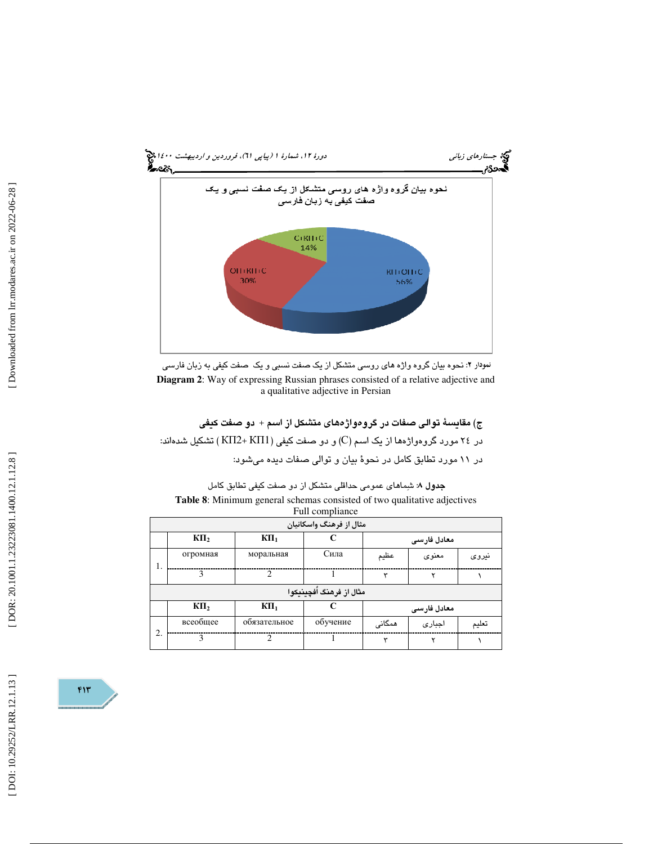

نمودار ۲: نحوه بیان گروه واژه های روسی منشکل از یک صفت نسبی و یک صفت کیفی به زبان فارسی : **Diagram 2**: Way of expressing Russian phrases consisted of a relative adjective and a qualitative adjective in Persian

| ج) مقايسةً توالى صفات در گروهواژههاى متشكل از اسم + دو صفت كيفى               |
|-------------------------------------------------------------------------------|
| در ۲٤ مورد گروهواژهها از یک اسم (C) و دو صفت کیفی (KII2+ KII1 ) تشکیل شدهاند: |
| در ١١ مورد تطابق كامل در نحوهٔ بيان و توالى صفات ديده مى شود:                 |

| <b>جدول ۸:</b> شماهای عمومی حداقلی متشکل از دو صفت کیفی تطابق کامل              |
|---------------------------------------------------------------------------------|
| <b>Table 8:</b> Minimum general schemas consisted of two qualitative adjectives |
| Full compliance                                                                 |

|    |               |                | <b>Full compliance</b>   |        |             |       |
|----|---------------|----------------|--------------------------|--------|-------------|-------|
|    |               |                | مثال از فرهنگ واسکانیان  |        |             |       |
|    | $K\Pi_2$      | $K\Pi_1$       |                          |        | معادل فارسى |       |
| Ι. | огромная      | моральная      | Сила                     | عظيم   | معنوى       | نيروى |
|    | $\mathcal{E}$ | $\mathfrak{D}$ |                          | ٣      |             |       |
|    |               |                | مثال از فرهنگ اُفچینیکوا |        |             |       |
|    | КП,           | $K\Pi_1$       |                          |        | معادل فارسى |       |
| 2. | всеобщее      | обязательное   | обучение                 | همگانی | اجبارى      | تعليم |
|    | $\mathbf{3}$  | $\mathcal{D}$  |                          | ٣      | ۷           |       |

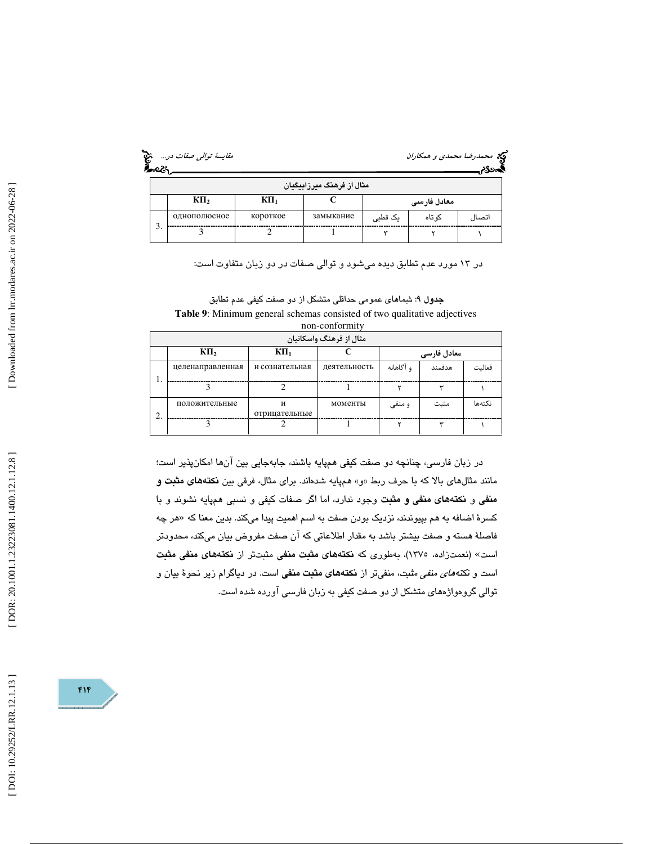| مقایسهٔ ت <i>والی صفات د</i> ر… چیخ<br><b>محترج</b> |  |
|-----------------------------------------------------|--|
|                                                     |  |

# محمد رضا محمدي و همكاران<br>محمدي مقايس

|        |              |          |                             |           |             | $\cdots$ |
|--------|--------------|----------|-----------------------------|-----------|-------------|----------|
|        |              |          | ٔ مثال از فرهنگ میرزابیگیان |           |             |          |
|        | $K\Pi_2$     | КП,      |                             |           | معادل فارسى |          |
| $\sim$ | однополюсное | короткое | замыкание                   | یک قطبی   | کو تاہ      | اتصال    |
| 3.     |              |          |                             | $\ddot{}$ |             |          |

در 13 مورد عدم تطابق ديده ميشود و توالي صفات در دو زبان متفاوت است:

جدول 9: شماهاي عمومي حداقلي متشكل از دو صفت كيفي عدم تطابق **Table 9**: Minimum general schemas consisted of two qualitative adjectives non-conformity

|   |                  |                    | مثال از فرهنگ واسکانیان |           |             |        |
|---|------------------|--------------------|-------------------------|-----------|-------------|--------|
|   | КП,              | $K\Pi_1$           |                         |           | معادل فارسی |        |
|   | целенаправленная | и сознательная     | деятельность            | و آگاهانه | هدفمند      | فعالىت |
|   |                  |                    |                         |           |             |        |
| ◠ | положительные    | и<br>отрицательные | моменты                 | و منفی    | مثبت        | نكتهها |
|   |                  |                    |                         |           |             |        |

در زبان فارسي، چنانچه دو صفت كيفي همپايه باشند، جابهجايي بين آنها امكانپذير است؛ مانند مثالهاي بالا كه با حرف ربط «و» همپايه شدهاند. براي مثال، فرقي بين **نكتههاي مثبت و** منفي و نكتههاي منفي و مثبت وجود ندارد، اما اگر صفات كيفي و نسبي همپايه نشوند و با کسرهٔ اضافه به هم بپیوندند، نزدیک بودن صفت به اسم اهمیت پیدا میکند. بدین معنا که «هر چه فاصلهٔ هسته و صفت بيشتر باشد به مقدار اطلاعاتي كه آن صفت مفروض بيان ميكند، محدودتر است» (نعمتزاده، ١٣٧٥)، بهطوري كه نكتههاي مثبت منفي مثبتتر از نكتههاي منفي مثبت است و نك*تههاي منفي م*ثبت، منفيتر از **نكتههاي مثبت منفي** است. در دياگرام زير نحوهٔ بيان و توالي گروهواژههاي متشكل از دو صفت كيفي به زبان فارسي آورده شده است.

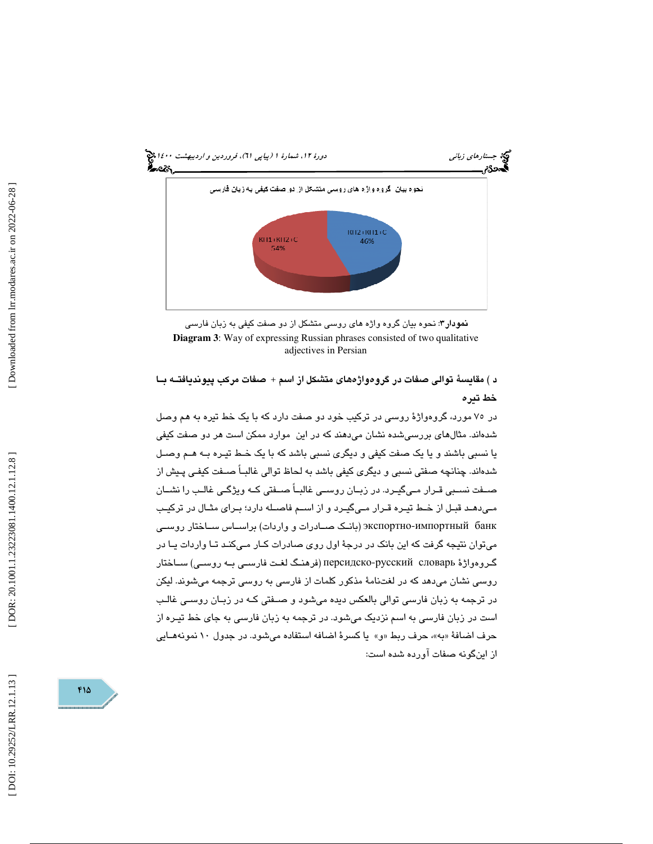

نمودار 3: نحوه بيان گروه واژه هاي روسي متشكل از دو صفت كيفي به زبان فارسي **Diagram 3**: Way of expressing Russian phrases consisted of two qualitative adjectives in Persian

د ) مقايسة توالي صفات در گروهواژههاي متشكل از اسم + صفات مركب پيونديافتـه بـا خط تيره

در 75 مورد، گروهواژة روسي در تركيب خود دو صفت دارد كه با يك خط تيره به هم وصل شدهاند. مثالهاي بررسيشده نشان ميدهند كه در اين موارد ممكن است هر دو صفت كيفي يا نسبي باشند و يا يك صفت كيفي و ديگري نسبي باشد كه با يك خـط تيـره بـه هـم وصـل شدهاند. چنانچه صفتي نسبي و ديگري كيفي باشد به لحاظ توالي غالبـاً صـفت كيفـي پـيش از صـفت نسـبي قـرار مـيگيـرد. در زبـان روسـي غالبـاً صـفتي كـه ويژگـي غالـب را نشـان مـيدهـد قبـل از خـط تيـره قـرار مـيگيـرد و از اسـم فاصـله دارد؛ بـراي مثـال در تركيـب экспортно-импортный банк (بانـك صــادرات و واردات) براســاس ســاختار روســي ميتوان نتيجه گرفت كه اين بانك در درجة اول روي صادرات كـار مـي كنـد تـا واردات يـا در گـروهواژهٔ персидско-русский словарь (فرهنـگ لغـت فارسـي بـه روسـي) ســاختار روسي نشان ميدهد كه در لغتنامة مذكور كلمات از فارسي به روسي ترجمه ميشوند. ليكن در ترجمه به زبان فارسي توالي بالعكس ديده ميشود و صـفتي كـه در زبـان روسـي غالـب است در زبان فارسي به اسم نزديك ميشود. در ترجمه به زبان فارسي به جاي خط تيـره از حرف اضافهٔ «به»، حرف ربط «و» یا کسرهٔ اضافه استفاده میشود. در جدول ۱۰ نمونههـایی از اينگونه صفات آورده شده است:

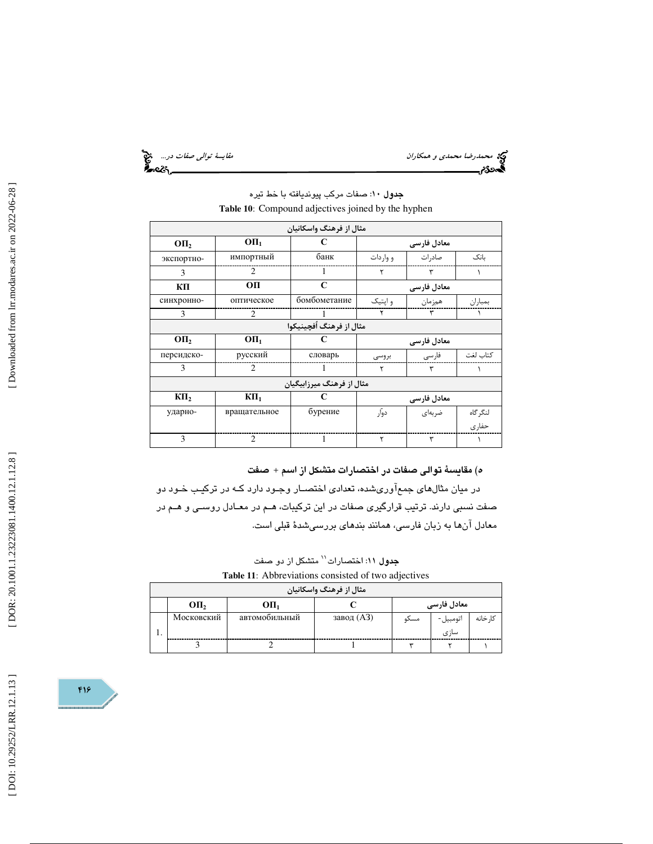محمد رضا محم*دي و همكاران مقال المحمدي و همكاران مقايسة توالي صفات در...*<br>المحمد عليه<br>**المحمد عليه المقامس المقابس المقامس المقامس المقابس المقابس المقابس المقابس المقامس المقامس المقامس المقامس ال** 

|            |                             | مثال از فرهنگ واسکانیان   |           |             |          |
|------------|-----------------------------|---------------------------|-----------|-------------|----------|
| OП,        | O <sub>II<sub>1</sub></sub> | C                         |           | معادل فارسی |          |
| экспортно- | импортный                   | банк                      | و وار دات | صاد, ات     | ىانك     |
| 3          | 2                           | 1                         | ٢         | ٣           |          |
| ΚП         | OП                          | C                         |           | معادل فارسی |          |
| синхронно- | оптическое                  | бомбометание              | و ایتیک   | همزمان      | بمباران  |
| 3          | 2                           |                           | ۲         | ٣           |          |
|            |                             | مثال از فرهنگ اُفچینیکوا  |           |             |          |
| OП,        | O <sub>II<sub>1</sub></sub> | C                         |           | معادل فارسی |          |
| персидско- | русский                     | словарь                   | بروسی     | فارسى       | كتاب لغت |
| 3          | 2                           | ı                         | ٢         | ٣           |          |
|            |                             |                           |           |             |          |
|            |                             | مثال از فرهنگ میرزابیگیان |           |             |          |
| $K\Pi_2$   | $K\Pi_1$                    | C                         |           | معادل فارسی |          |
| ударно-    | вращательное                | бурение                   | دوآر      | ضربهای      | لنگر گاه |
|            |                             |                           |           |             | حفار ی   |

### جدول 10: صفات مركب پيونديافته با خط تيره **Table 10** : Compound adjectives joined by the hyphen

ه) مقايسة توالي صفات در اختصارات متشكل از اسم + صفت

در ميان مثالهاي جمعآوريشده، تعدادي اختصـار وجـود دارد كـه در تركيـب خـود دو صفت نسبي دارند. ترتيب قرارگيري صفات در اين تركيبات، هـم در معـادل روسـي و هـم در معادل آنها به زبان فارسي، همانند بندهاي بررسيشدة قبلي است.

**جدول ۱۱: اخت**صارات<sup>\\</sup> متشكل از دو صفت

**Table 11** : Abbreviations consisted of two adjectives

|    |                  |                             | مثال از فرهنگ واسکانیان |      |             |          |
|----|------------------|-----------------------------|-------------------------|------|-------------|----------|
|    | OII <sub>2</sub> | O <sub>II<sub>1</sub></sub> |                         |      | معادل فارسی |          |
|    | Московский       | автомобильный               | завод (АЗ)              | مسكه | اتومبيل-    | کا, خانه |
| ., |                  |                             |                         |      | سازى        |          |
|    |                  |                             |                         |      |             |          |

416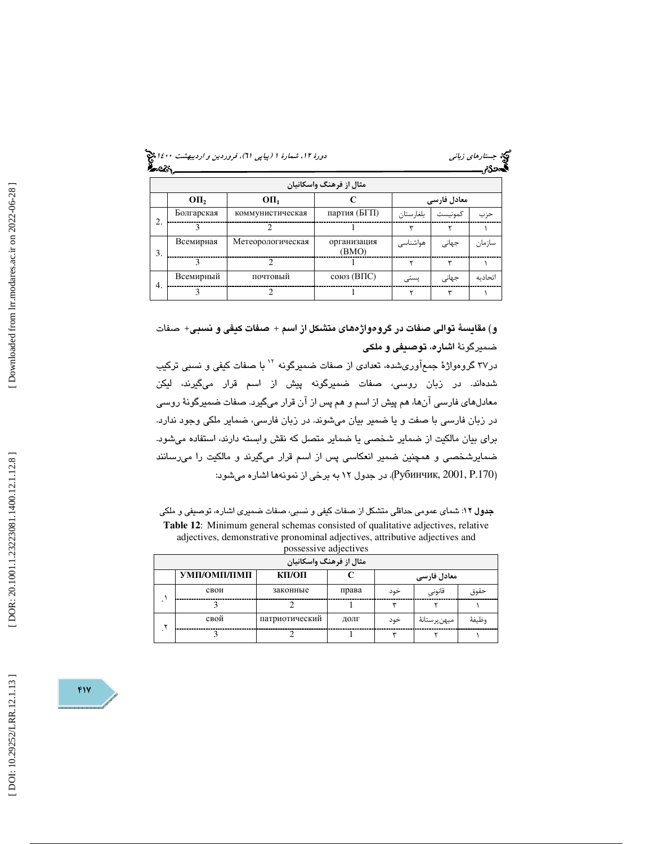| .ورهٔ ۱۲، شمارهٔ ۱ (پیاپی ۲۱)، فروردین و <i>اردیبهشت ۱٤۰۰</i> ق <b>ی</b><br>گ <b>انگ</b> |  |
|------------------------------------------------------------------------------------------|--|
|                                                                                          |  |

| مثال از فرهنگ واسکانیان |            |                             |                      |            |             |         |  |
|-------------------------|------------|-----------------------------|----------------------|------------|-------------|---------|--|
|                         | OП,        | O <sub>II<sub>1</sub></sub> |                      |            | معادل فارسی |         |  |
| 2.                      | Болгарская | коммунистическая            | партия (БГП)         | بلغار ستان | كمونيست     | حزب     |  |
|                         | 3          | $\mathcal{D}$               |                      | ٣          | ۲           |         |  |
| 3.                      | Всемирная  | Метеорологическая           | организация<br>(BMO) | ھواشناسی   | جهانى       | سازمان  |  |
|                         | 3          | $\mathcal{D}$               |                      | ۲          | ٣           |         |  |
|                         | Всемирный  | почтовый                    | $\cos($ ВПС $)$      | پستی       | جهانى       | اتحادىه |  |
| 4.                      | 3          | $\mathcal{D}$               |                      |            | ٣           |         |  |

و) مقايسة توالي صفات در گروهواژههاي متشكل از اسم + صفات كيفي و نسبي+ صفات ضميرگونة اشاره، توصيفي و ملكي

در 37 گروهواژة جمعآوريشده، تعدادي از صفات ضميرگونه با صفات كيفي و نسبي تركيب <sup>12</sup> شدهاند. در زبان روسي، صفات ضميرگونه پيش از اسم قرار ميگيرند، ليكن معادلهاي فارسي آنها، هم پيش از اسم و هم پس از آن قرار ميگيرد. صفات ضميرگونة روسي در زبان فارسي با صفت و يا ضمير بيان ميشوند. در زبان فارسي، ضماير ملكي وجود ندارد. براي بيان مالكيت از ضماير شخصي يا ضماير متصل كه نقش وابسته دارند، استفاده ميشود. ضمايرشخصي و همچنين ضمير انعكاسي پس از اسم قرار ميگيرند و مالكيت را ميرسانند (Рубинчик, 2001, Р.170). در جدول ۱۲ به برخی از نمونهها اشاره میشود:

جدول :12 شماي عمومي حداقلي متشكل از صفات كيفي و نسبي، صفات ضميري اشاره، توصيفي و ملكي **Table 12** : Minimum general schemas consisted of qualitative adjectives, relative adjectives, demonstrative pronominal adjectives, attributive adjectives and possessive adjectives

| مثال از فرهنگ واسکانیان |                                     |                |       |     |              |       |  |  |
|-------------------------|-------------------------------------|----------------|-------|-----|--------------|-------|--|--|
|                         | УМП/ОМП/ПМП<br>КП/ОП<br>معادل فارسی |                |       |     |              |       |  |  |
|                         | свои                                | законные       | права | خود | قانونى       | حقوق  |  |  |
|                         |                                     |                |       |     |              |       |  |  |
| ٧                       | свой                                | патриотический | ДОЛГ  | خود | ميهنپرستانهٔ | وظيفة |  |  |
|                         |                                     |                |       | س   |              |       |  |  |

417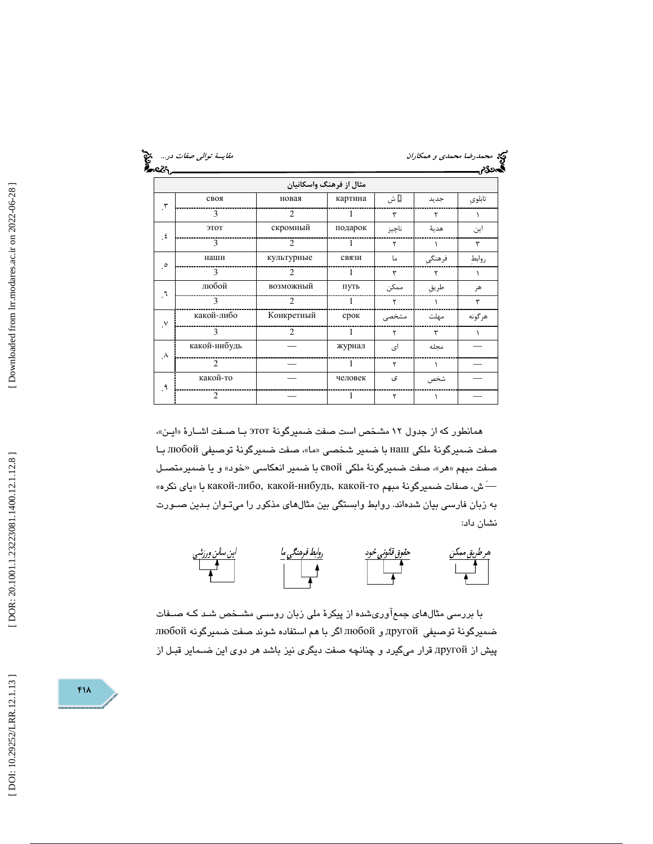| 25.000           | مقايسة توالى صفات در |                             |                         |       | وی محم <i>درضا محمدی و همکاران</i><br>وی دیگر مسیحی است.<br><b>پاکستان است</b> |        |
|------------------|----------------------|-----------------------------|-------------------------|-------|--------------------------------------------------------------------------------|--------|
|                  |                      |                             | مثال از فرهنگ واسکانیان |       |                                                                                |        |
| $\cdot$          | своя                 | новая                       | картина                 | Σ ش   | جديد                                                                           | تابلوي |
|                  | 3                    | $\mathcal{D}_{\mathcal{L}}$ | 1                       | ٣     | ٢                                                                              |        |
|                  | ЭТОТ                 | скромный                    | подарок                 | ناچيز | هدية                                                                           | این    |
| $\epsilon$       | 3                    | $\mathcal{D}_{\mathcal{L}}$ | 1                       | ٢     |                                                                                | ٣      |
|                  | наши                 | культурные                  | связи                   | ما    | فرهنگي                                                                         | روابط  |
| $\cdot^{\circ}$  | 3                    | 2                           | -1                      | ٣     | ٢                                                                              |        |
|                  | любой                | возможный                   | путь                    | ممكن  | طريق                                                                           | هر     |
| $\mathcal{L}$    | 3                    | $\mathfrak{D}$              | -1                      | ۲     |                                                                                | ٣      |
| $\cdot^{\vee}$   | какой-либо           | Конкретный                  | срок                    | مشخصى | مهلت                                                                           | هرگونه |
|                  | $\mathbf{3}$         | $\overline{2}$              | 1                       | ۲     | ٣                                                                              |        |
|                  | какой-нибудь         |                             | журнал                  | ای    | محله                                                                           |        |
| $\cdot^{\wedge}$ | $\overline{c}$       |                             | 1                       | ٢     | $\lambda$                                                                      |        |
|                  | какой-то             |                             | человек                 | ی     | شخص                                                                            |        |
| .۹               | $\overline{c}$       |                             | 1                       | ٢     | Λ                                                                              |        |

همانطور كه از جدول ۱۲ مشخص است صفت ضميرگونهٔ этот بـا صـفت اشـارهٔ «ايـن»، صفت ضميرگونهٔ ملكي наш با ضمير شخصي «ما»، صفت ضميرگونهٔ توصيفي любой بـا صفت مبهم «هر»، صفت ضميرگونهٔ ملكى cвой با ضمير انعكاسى «خود» و يا ضميرمتصـل ش، صفات ضميرگونهٔ مبهم какой-либо, какой-нибудь, какой-то با «ياي نكره» ِ به زبان فارسي بيان شدهاند. روابط وابستگي بين مثالهاي مذكور را ميتـوان بـدين صـورت نشان داد:



با بررسي مثالهاي جمعآوريشده از پيكرة ملي زبان روسـي مشـخص شـد كـه صـفات ضميرگونة توصيفي другой و любой اگر با هم استفاده شوند صفت ضميرگونه любой پيش از другой قرار ميگيرد و چنانچه صفت ديگري نيز باشد هر دوي اين ضـماير قبـل از

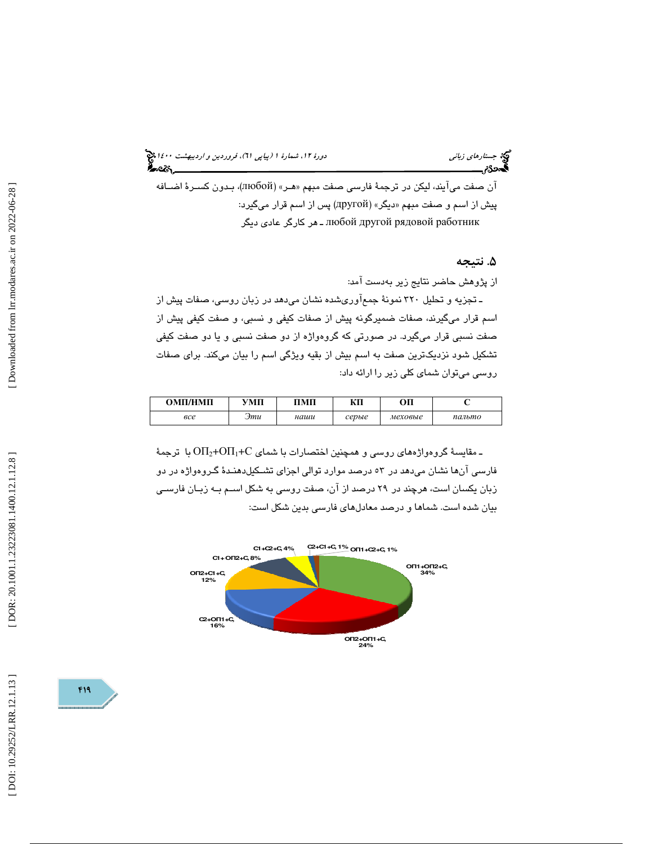(پياپي 61)، فروردين و ارديبهشت 1400 جستارهاي زباني دورة ،12 شمارة 1

آن صفت ميآيند، ليكن در ترجمهٔ فارسي صفت مبهم «هـر» (любой)، بـدون كسـرهٔ اضـافه پیش از اسم و صفت مبهم «دیگر» (другой) پس از اسم قرار میگیرد: работник рядовой другой любой ـ هر كارگر عادي ديگر

. نتيجه 5

از پژوهش حاضر نتايج زير بهدست آمد:

ـ تجزيه و تحليل 320 نمونة جمعآوريشده نشان ميدهد در زبان روسي، صفات پيش از اسم قرار ميگيرند، صفات ضميرگونه پيش از صفات كيفي و نسبي، و صفت كيفي پيش از صفت نسبي قرار ميگيرد. در صورتي كه گروهواژه از دو صفت نسبي و يا دو صفت كيفي تشكيل شود نزديكترين صفت به اسم بيش از بقيه ويژگي اسم را بيان ميكند. براي صفات روسي ميتوان شماي كلي زير را ارائه داد:

| ОМП/НМП         | УМП | ПМП  | КΠ    | ΟП      | ◡      |
|-----------------|-----|------|-------|---------|--------|
| <sub>6</sub> ce | Эти | наши | серые | меховые | пальто |

مقايسهٔ گروهواژههای روسی و همچنین اختصارات با شمای O $\Pi_1$ +O $\Pi_1$ با ترجمهٔ  $\sim$ فارسي آنها نشان ميدهد در 53 درصد موارد توالي اجزاي تشـكيل دهنـدة گـروه واژه در دو زبان يكسان است، هرچند در 29 درصد از آن، صفت روسي به شكل اسـم بـه زبـان فارسـي بيان شده است. شماها و درصد معادلهاي فارسي بدين شكل است:



419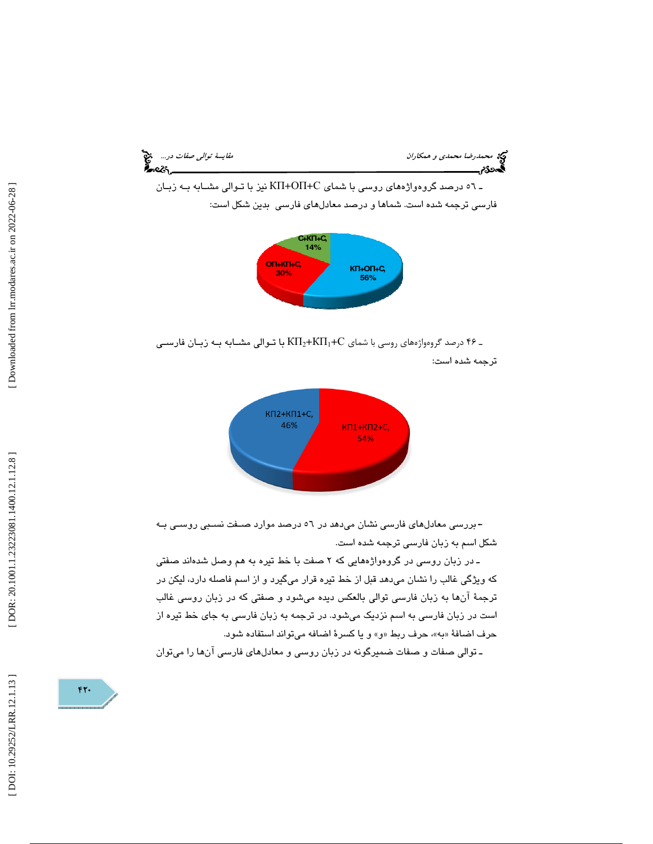



ـ ۴۶ درصد گروهواژههای روسی با شمای K $\Pi_2+$ K $\Pi_1+$ با تـوالی مشـابه بـه زبـان فارسـی

ترجمه شده است:



ـ9 بررسي معادلهاي فارسي نشان ميدهد در 56 درصد موارد صـفت نسـبي روسـي بـه شكل اسم به زبان فارسي ترجمه شده است.

ـ در زبان روسی در گروهواژههايی كه ۲ صفت با خط تیره به هم وصل شدهاند صفتی كه ويژگي غالب را نشان ميدهد قبل از خط تيره قرار ميگيرد و از اسم فاصله دارد، ليكن در ترجمة آنها به زبان فارسي توالي بالعكس ديده ميشود و صفتي كه در زبان روسي غالب است در زبان فارسي به اسم نزديك ميشود. در ترجمه به زبان فارسي به جاي خط تيره از حرف اضافهٔ «به»، حرف ربط «و» و یا کسرهٔ اضافه میتواند استفاده شود.

ـ توالي صفات و صفات ضميرگونه در زبان روسي و معادلهاي فارسي آنها را ميتوان

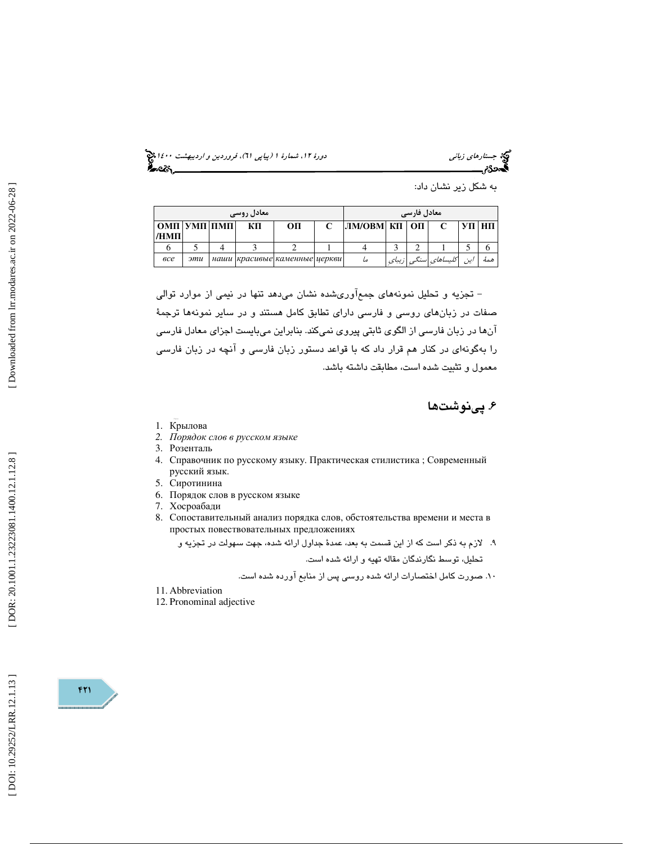(پياپي 61)، فروردين و ارديبهشت 1400 جستارهاي زباني دورة ،12 شمارة 1

| به شکل زیر نشان داد: |  |  |
|----------------------|--|--|
|                      |  |  |

| <b>`معادل روسی</b>             |     |  |    | <b>`معادل فارسی</b>           |  |                |  |  |                     |              |     |
|--------------------------------|-----|--|----|-------------------------------|--|----------------|--|--|---------------------|--------------|-----|
| OMIT   YMIT   IIMIT  <br>/HMII |     |  | КΠ | OП                            |  | ЛМ/ОВМ КП   ОП |  |  |                     | <b>STIHT</b> |     |
|                                |     |  |    |                               |  |                |  |  |                     |              |     |
| <sub>6</sub> ce                | эти |  |    | наши красивые каменные церкви |  | ما             |  |  | كليساهاى سنكى زيباى |              | همة |

 - تجزيه و تحليل نمونههاي جمعآوريشده نشان ميدهد تنها در نيمي از موارد توالي صفات در زبانهاي روسي و فارسي داراي تطابق كامل هستند و در ساير نمونهها ترجمة آنها در زبان فارسي از الگوي ثابتي پيروي نميكند. بنابراين ميبايست اجزاي معادل فارسي را بهگونهاي در كنار هم قرار داد كه با قواعد دستور زبان فارسي و آنچه در زبان فارسي معمول و تثبيت شده است، مطابقت داشته باشد.

. پينوشت ها 6

- 1. Крылова
- *2.* Порядок слов в русском языке
- 3. Розенталь
- 4. Справочник по русскому языку. Практическая стилистика ; Современный русский язык.
- 5. Сиротинина
- 6. Порядок слов в русском языке
- 7. Хосроабади
- 8. Сопоставительный анализ порядка слов, обстоятельства времени и места в простых повествовательных предложениях

9. لازم به ذكر است كه از اين قسمت به بعد، عمدة جداول ارائه شده، جهت سهولت در تجزيه و تحليل، توسط نگارندگان مقاله تهيه و ارائه شده است.

- 10. صورت كامل اختصارات ارائه شده روسي پس از منابع آورده شده است.
- 11. Abbreviation
- 12. Pronominal adjective

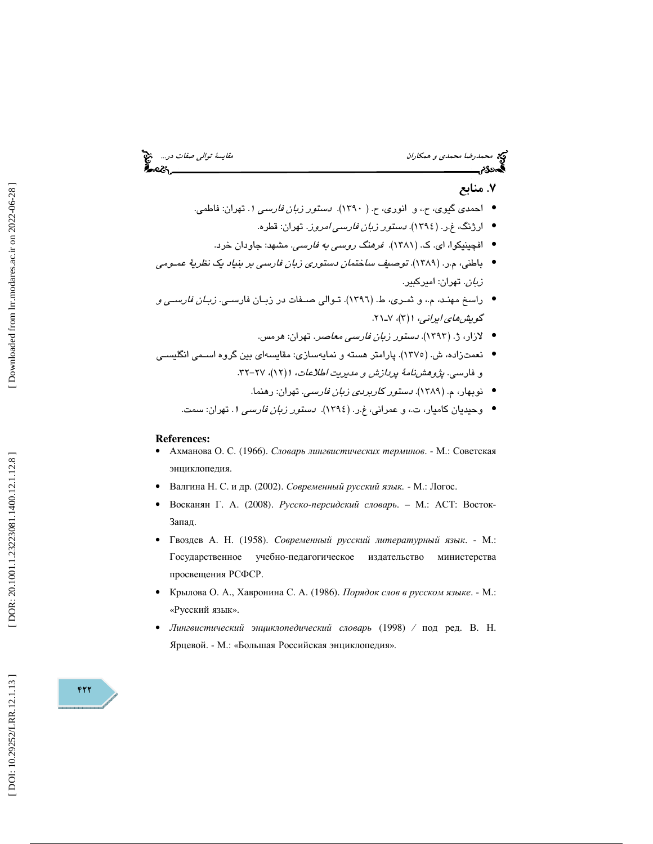# محمد الشريف محمدي و همكاران مقايسة توالي صفات در... من مجمع المقايسة توالي صفات در... من مجمع المقايسة توالي ص<br>**قايس درج مقايس المقايس المقايسة توالي** مقايسة توالي المقايسة المقايسة المقايسة المقايسة المقايسة المقايسة الم

### . منابع 7

- احمدی گیوی، ح.، و انوری، ح. ( ۱۳۹۰). *دستور زبان فارسی ۱.* تهران: فاطمی.
	- ارژنگ، غ.ر. (١٣٩٤). *دستور زبان فارسی امروز*. تهران: قطره.
	- افچینیکوا، ای. ک. (۱۳۸۱). *فرهنگ روسی به فارسی.* مشهد: جاودان خرد.
- باطني، م.ر. (١٣٨٩). توصيف *ساختمان دستوري زبان فارسي بر بنياد يک نظرية عمـومي* ز*بان*. تهران: اميركبير.
- راسخ مهنـد، م.، و ثمـري، ط. (١٣٩٦). تـوالي صــفات در زبـان فارســي. *زبـان فارســي و* گ*ويش هاي ايراني، ۱* (۳)، ۷-۲۱.
	- لازار، ژ. (۱۳۹۳). *دستور زبان فارسی معاصر*. تهران: هرمس.
- نعمتزاده، ش. (١٣٧٥). پارامتر هسته و نمايهسازي: مقايسهاي بين گروه اسـمي انگليسـي و فارسی. *پژوهشنامهٔ پردازش و مدیریت اطلاعات*، ۱(۱۲)، ۲۷–۳۲.
	- نوبهار، م. (۱۳۸۹). *دستور كاربردي زبان فارسي*. تهران: رهنما.
	- وحیدیان کامیار، ت،، و عمرانی، غ.ر. (١٣٩٤). *دستور زبان فارسی* 1. تهران: سمت.

- **References:**  Ахманова О. С. (1966). Словарь лингвистических терминов. М.: Советская энциклопедия.
- Валгина Н. С. и др. (2002). Современный русский язык *.* М.: Логос.
- Восканян Г. А. (2008). Русско-персидский словарь. М.: АСТ: Восток-Запад.
- Гвоздев А. Н. (1958). Современный русский литературный язык. М.: Государственное -педагогическое издательство министерства просвещения РСФСР.
- Крылова О. А., Хавронина С. А. (1986). Порядок слов в русском языке. М.: «Русский язык».
- Лингвистический энциклопедический словарь (1998) / под ред. В. Н. Ярцевой. - М.: «Большая Российская энциклопедия».

 $FT$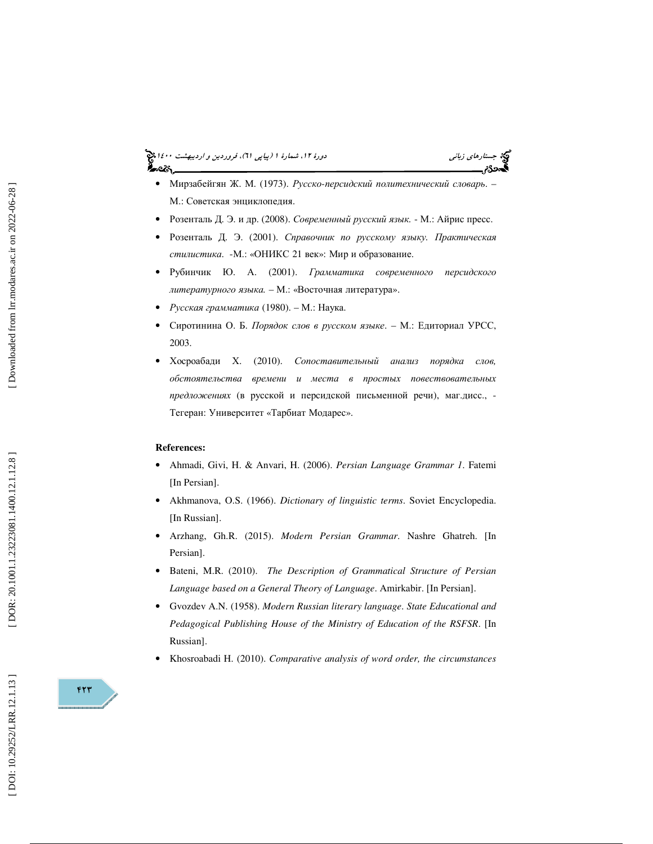## (پياپي 61)، فروردين و ارديبهشت 1400 جستارهاي زباني دورة ،12 شمارة 1



- Мирзабейгян Ж. М. (1973). Русско-персидский политехнический словарь. -М.: Советская энциклопедия.
- Розенталь Д. Э. и др. (2008). Современный русский язык. М.: Айрис пресс.
- Розенталь Д. Э. (2001). Справочник по русскому языку*.* Практическая стилистика. - М.: «ОНИКС 21 век»: Мир и образование.
- Рубинчик Ю. А. (2001). Грамматика современного персидского литературного языка *.* – М.: «Восточная литература».
- Русская грамматика (1980). М.: Наука.
- Сиротинина О. Б. Порядок слов в русском языке. М.: Едиториал УРСС, 2003.
- Хосроабади Х. (2010). Сопоставительный анализ порядка слов*,*  обстоятельства времени и места в простых повествовательных предложениях (в русской и персидской письменной речи), маг.дисс., -Тегеран: Университет «Тарбиат Модарес».

### **References:**

- Ahmadi, Givi, H. & Anvari, H. (2006). *Persian Language Grammar 1*. Fatemi [In Persian].
- Akhmanova, O.S. (1966). *Dictionary of linguistic terms*. Soviet Encyclopedia. [In Russian].
- Arzhang, Gh.R. (2015). *Modern Persian Grammar*. Nashre Ghatreh. [In Persian].
- Bateni, M.R. (2010). *The Description of Grammatical Structure of Persian Language based on a General Theory of Language*. Amirkabir. [In Persian].
- Gvozdev A.N. (1958). *Modern Russian literary language*. *State Educational and Pedagogical Publishing House of the Ministry of Education of the RSFSR*. [In Russian].
- Khosroabadi H. (2010). *Comparative analysis of word order, the circumstances*

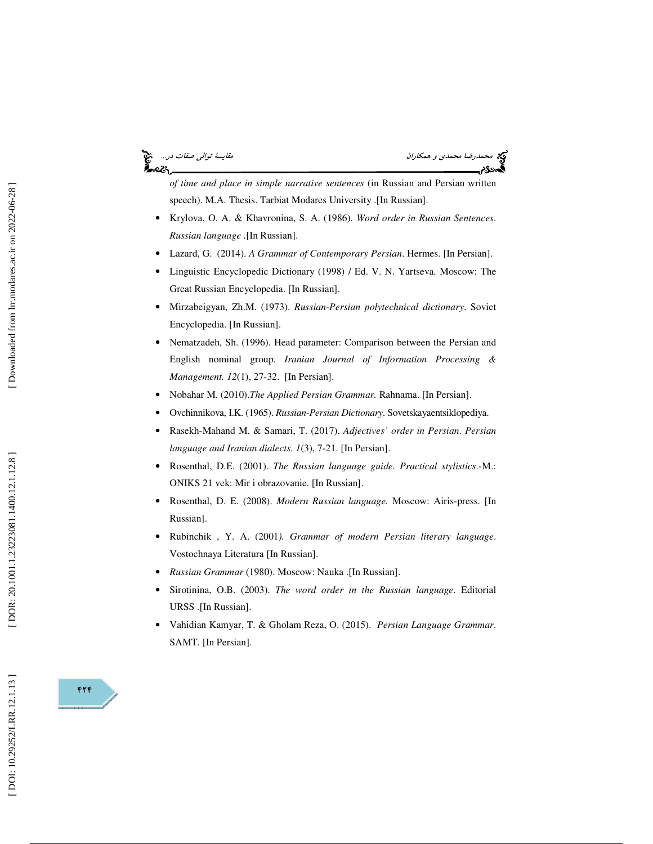# أحصركم

محمد *رضا محمدي و همكاران مقايسة توالي صفات در...*<br>**محمد توالي صفات در....**<br>**محمد توالي مقايسة توالي صفات در...** 

*of time and place in simple narrative sentences* (in Russian and Persian written speech). M.A. Thesis. Tarbiat Modares University .[In Russian].

- Krylova, O. A. & Khavronina, S. A. (1986). *Word order in Russian Sentences*. *Russian language* .[In Russian].
- Lazard, G. (2014). *A Grammar of Contemporary Persian*. Hermes. [In Persian].
- Linguistic Encyclopedic Dictionary (1998) / Ed. V. N. Yartseva. Moscow: The Great Russian Encyclopedia. [In Russian].
- Mirzabeigyan, Zh.M. (1973). *Russian-Persian polytechnical dictionary*. Soviet Encyclopedia. [In Russian].
- Nematzadeh, Sh. (1996). Head parameter: Comparison between the Persian and English nominal group. *Iranian Journal of Information Processing & Management. 12*(1), 27-32. [In Persian].
- Nobahar M. (2010).*The Applied Persian Grammar.* Rahnama. [In Persian].
- Ovchinnikova, I.K. (1965). *Russian-Persian Dictionary*. Sovetskayaentsiklopediya.
- Rasekh-Mahand M. & Samari, T. (2017). *Adjectives' order in Persian*. *Persian language and Iranian dialects. 1*(3), 7-21. [In Persian].
- Rosenthal, D.E. (2001). *The Russian language guide. Practical stylistics*.-M.: ONIKS 21 vek: Mir i obrazovanie. [In Russian].
- Rosenthal, D. E. (2008). *Modern Russian language.* Moscow: Airis-press. [In Russian].
- Rubinchik , Y. A. (2001*). Grammar of modern Persian literary language*. Vostochnaya Literatura [In Russian].
- *Russian Grammar* (1980). Moscow: Nauka .[In Russian].
- Sirotinina, O.B. (2003). *The word order in the Russian language*. Editorial URSS .[In Russian].
- Vahidian Kamyar, T. & Gholam Reza, O. (2015). *Persian Language Grammar*. SAMT. [In Persian].